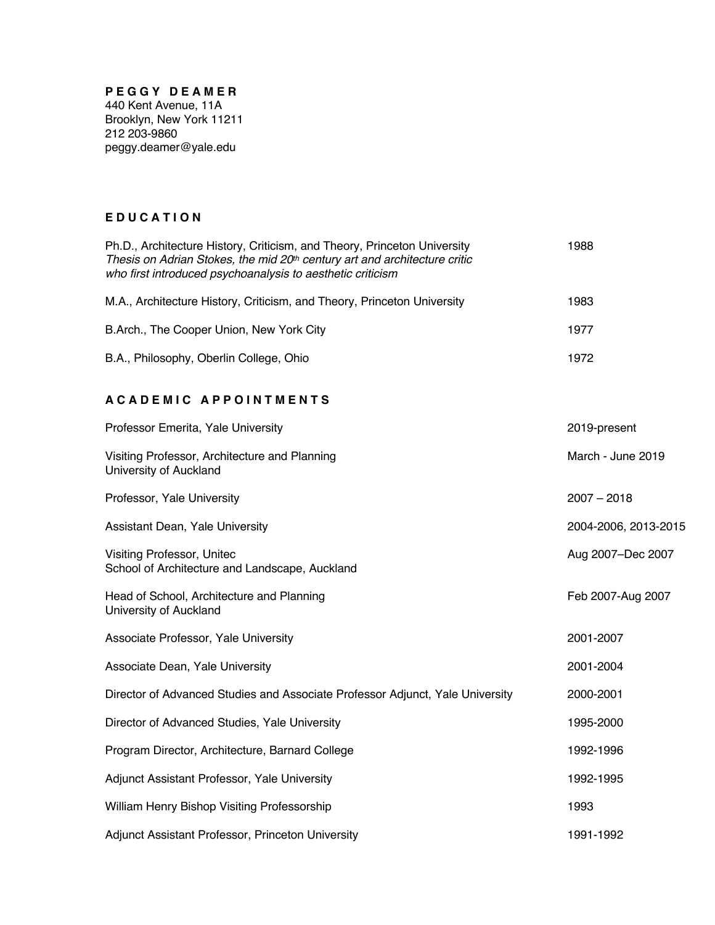#### **P E G G Y D E A M E R**

440 Kent Avenue, 11A Brooklyn, New York 11211 212 203-9860 peggy.deamer@yale.edu

#### **E D U C A T I O N**

| Ph.D., Architecture History, Criticism, and Theory, Princeton University<br>Thesis on Adrian Stokes, the mid 20th century art and architecture critic<br>who first introduced psychoanalysis to aesthetic criticism | 1988 |
|---------------------------------------------------------------------------------------------------------------------------------------------------------------------------------------------------------------------|------|
| M.A., Architecture History, Criticism, and Theory, Princeton University                                                                                                                                             | 1983 |
| B.Arch., The Cooper Union, New York City                                                                                                                                                                            | 1977 |
| B.A., Philosophy, Oberlin College, Ohio                                                                                                                                                                             | 1972 |

#### **A C A D E M I C A P P O I N T M E N T S**

| Professor Emerita, Yale University                                            | 2019-present         |
|-------------------------------------------------------------------------------|----------------------|
| Visiting Professor, Architecture and Planning<br>University of Auckland       | March - June 2019    |
| Professor, Yale University                                                    | $2007 - 2018$        |
| Assistant Dean, Yale University                                               | 2004-2006, 2013-2015 |
| Visiting Professor, Unitec<br>School of Architecture and Landscape, Auckland  | Aug 2007-Dec 2007    |
| Head of School, Architecture and Planning<br>University of Auckland           | Feb 2007-Aug 2007    |
| Associate Professor, Yale University                                          | 2001-2007            |
| Associate Dean, Yale University                                               | 2001-2004            |
| Director of Advanced Studies and Associate Professor Adjunct, Yale University | 2000-2001            |
| Director of Advanced Studies, Yale University                                 | 1995-2000            |
| Program Director, Architecture, Barnard College                               | 1992-1996            |
| Adjunct Assistant Professor, Yale University                                  | 1992-1995            |
| William Henry Bishop Visiting Professorship                                   | 1993                 |
| Adjunct Assistant Professor, Princeton University                             | 1991-1992            |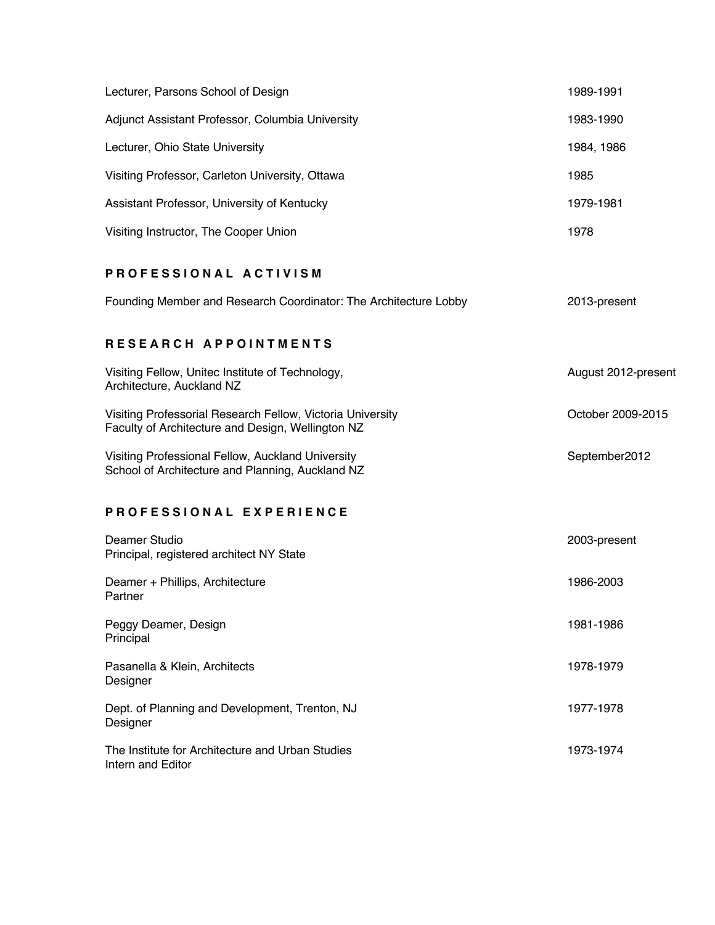| Lecturer, Parsons School of Design               | 1989-1991  |
|--------------------------------------------------|------------|
| Adjunct Assistant Professor, Columbia University | 1983-1990  |
| Lecturer, Ohio State University                  | 1984, 1986 |
| Visiting Professor, Carleton University, Ottawa  | 1985       |
| Assistant Professor, University of Kentucky      | 1979-1981  |
| Visiting Instructor, The Cooper Union            | 1978       |

### **P R O F E S S I O N A L A C T I V I S M**

|  |  | Founding Member and Research Coordinator: The Architecture Lobby | 2013-present |
|--|--|------------------------------------------------------------------|--------------|
|--|--|------------------------------------------------------------------|--------------|

# **R E S E A R C H A P P O I N T M E N T S**

| Visiting Fellow, Unitec Institute of Technology,<br>Architecture, Auckland NZ                                   | August 2012-present |
|-----------------------------------------------------------------------------------------------------------------|---------------------|
| Visiting Professorial Research Fellow, Victoria University<br>Faculty of Architecture and Design, Wellington NZ | October 2009-2015   |
| Visiting Professional Fellow, Auckland University<br>School of Architecture and Planning, Auckland NZ           | September2012       |
| PROFESSIONAL EXPERIENCE                                                                                         |                     |
| Deamer Studio<br>Principal, registered architect NY State                                                       | 2003-present        |
| Deamer + Phillips, Architecture<br>Partner                                                                      | 1986-2003           |
| Peggy Deamer, Design<br>Principal                                                                               | 1981-1986           |
| Pasanella & Klein, Architects<br>Designer                                                                       | 1978-1979           |
| Dept. of Planning and Development, Trenton, NJ<br>Designer                                                      | 1977-1978           |
| The Institute for Architecture and Urban Studies<br>Intern and Editor                                           | 1973-1974           |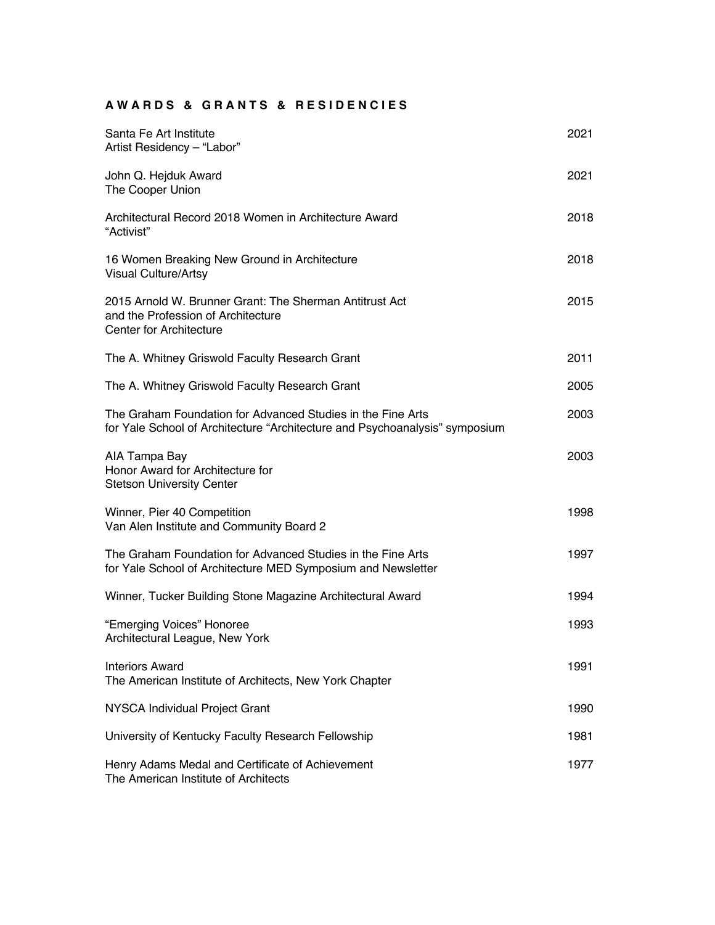# **A W A R D S & G R A N T S & R E S I D E N C I E S**

| Santa Fe Art Institute<br>Artist Residency - "Labor"                                                                                       | 2021 |
|--------------------------------------------------------------------------------------------------------------------------------------------|------|
| John Q. Hejduk Award<br>The Cooper Union                                                                                                   | 2021 |
| Architectural Record 2018 Women in Architecture Award<br>"Activist"                                                                        | 2018 |
| 16 Women Breaking New Ground in Architecture<br><b>Visual Culture/Artsy</b>                                                                | 2018 |
| 2015 Arnold W. Brunner Grant: The Sherman Antitrust Act<br>and the Profession of Architecture<br><b>Center for Architecture</b>            | 2015 |
| The A. Whitney Griswold Faculty Research Grant                                                                                             | 2011 |
| The A. Whitney Griswold Faculty Research Grant                                                                                             | 2005 |
| The Graham Foundation for Advanced Studies in the Fine Arts<br>for Yale School of Architecture "Architecture and Psychoanalysis" symposium | 2003 |
| AIA Tampa Bay<br>Honor Award for Architecture for<br><b>Stetson University Center</b>                                                      | 2003 |
| Winner, Pier 40 Competition<br>Van Alen Institute and Community Board 2                                                                    | 1998 |
| The Graham Foundation for Advanced Studies in the Fine Arts<br>for Yale School of Architecture MED Symposium and Newsletter                | 1997 |
| Winner, Tucker Building Stone Magazine Architectural Award                                                                                 | 1994 |
| "Emerging Voices" Honoree<br>Architectural League, New York                                                                                | 1993 |
| <b>Interiors Award</b><br>The American Institute of Architects, New York Chapter                                                           | 1991 |
| NYSCA Individual Project Grant                                                                                                             | 1990 |
| University of Kentucky Faculty Research Fellowship                                                                                         | 1981 |
| Henry Adams Medal and Certificate of Achievement<br>The American Institute of Architects                                                   | 1977 |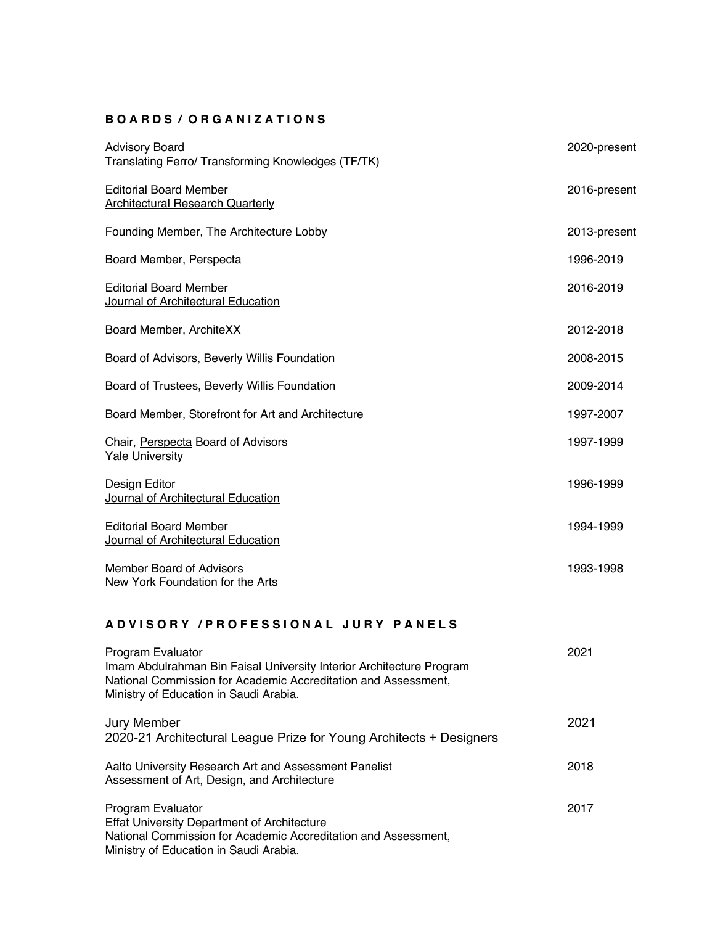#### **B O A R D S / O R G A N I Z A T I O N S**

| <b>Advisory Board</b><br>Translating Ferro/ Transforming Knowledges (TF/TK) | 2020-present |
|-----------------------------------------------------------------------------|--------------|
| <b>Editorial Board Member</b><br><b>Architectural Research Quarterly</b>    | 2016-present |
| Founding Member, The Architecture Lobby                                     | 2013-present |
| Board Member, Perspecta                                                     | 1996-2019    |
| <b>Editorial Board Member</b><br>Journal of Architectural Education         | 2016-2019    |
| Board Member, ArchiteXX                                                     | 2012-2018    |
| Board of Advisors, Beverly Willis Foundation                                | 2008-2015    |
| Board of Trustees, Beverly Willis Foundation                                | 2009-2014    |
| Board Member, Storefront for Art and Architecture                           | 1997-2007    |
| Chair, Perspecta Board of Advisors<br><b>Yale University</b>                | 1997-1999    |
| Design Editor<br>Journal of Architectural Education                         | 1996-1999    |
| <b>Editorial Board Member</b><br>Journal of Architectural Education         | 1994-1999    |
| Member Board of Advisors<br>New York Foundation for the Arts                | 1993-1998    |

### **A D V I S O R Y / P R O F E S S I O N A L J U R Y P A N E L S**

| Program Evaluator<br>Imam Abdulrahman Bin Faisal University Interior Architecture Program<br>National Commission for Academic Accreditation and Assessment,<br>Ministry of Education in Saudi Arabia. | 2021 |
|-------------------------------------------------------------------------------------------------------------------------------------------------------------------------------------------------------|------|
| <b>Jury Member</b><br>2020-21 Architectural League Prize for Young Architects + Designers                                                                                                             | 2021 |
| Aalto University Research Art and Assessment Panelist<br>Assessment of Art, Design, and Architecture                                                                                                  | 2018 |
| Program Evaluator<br><b>Effat University Department of Architecture</b><br>National Commission for Academic Accreditation and Assessment,<br>Ministry of Education in Saudi Arabia.                   | 2017 |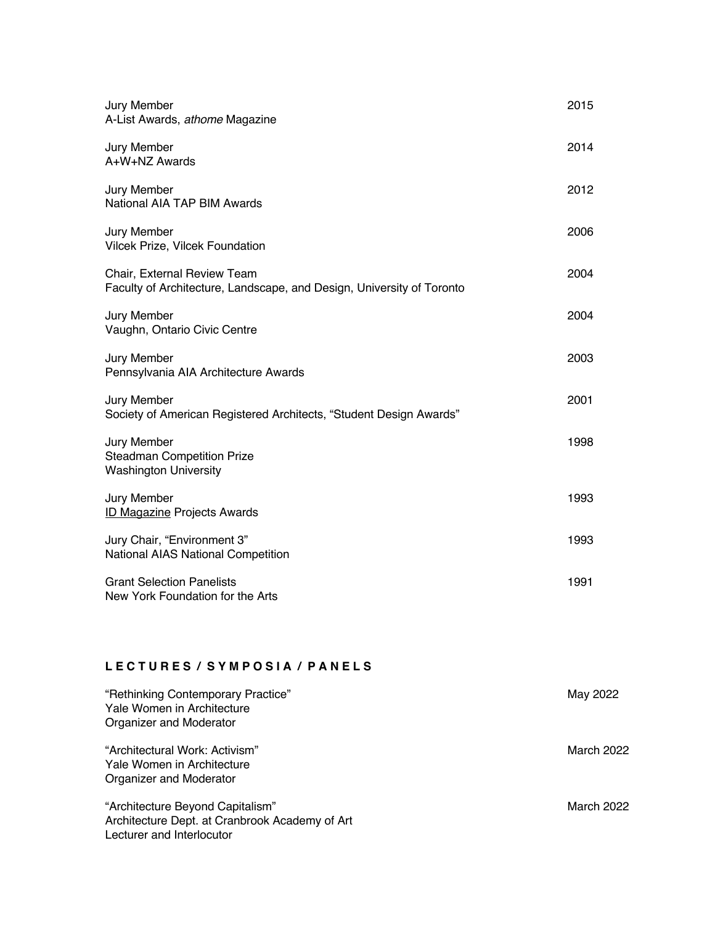| Jury Member<br>A-List Awards, athome Magazine                                                        | 2015 |
|------------------------------------------------------------------------------------------------------|------|
| Jury Member<br>A+W+NZ Awards                                                                         | 2014 |
| Jury Member<br>National AIA TAP BIM Awards                                                           | 2012 |
| Jury Member<br>Vilcek Prize, Vilcek Foundation                                                       | 2006 |
| Chair, External Review Team<br>Faculty of Architecture, Landscape, and Design, University of Toronto | 2004 |
| Jury Member<br>Vaughn, Ontario Civic Centre                                                          | 2004 |
| Jury Member<br>Pennsylvania AIA Architecture Awards                                                  | 2003 |
| Jury Member<br>Society of American Registered Architects, "Student Design Awards"                    | 2001 |
| Jury Member<br><b>Steadman Competition Prize</b><br><b>Washington University</b>                     | 1998 |
| Jury Member<br><b>ID Magazine Projects Awards</b>                                                    | 1993 |
| Jury Chair, "Environment 3"<br>National AIAS National Competition                                    | 1993 |
| <b>Grant Selection Panelists</b><br>New York Foundation for the Arts                                 | 1991 |
|                                                                                                      |      |

### **L E C T U R E S / S Y M P O S I A / P A N E L S**

| "Rethinking Contemporary Practice"<br>Yale Women in Architecture<br>Organizer and Moderator                     | May 2022   |
|-----------------------------------------------------------------------------------------------------------------|------------|
| "Architectural Work: Activism"<br>Yale Women in Architecture<br>Organizer and Moderator                         | March 2022 |
| "Architecture Beyond Capitalism"<br>Architecture Dept. at Cranbrook Academy of Art<br>Lecturer and Interlocutor | March 2022 |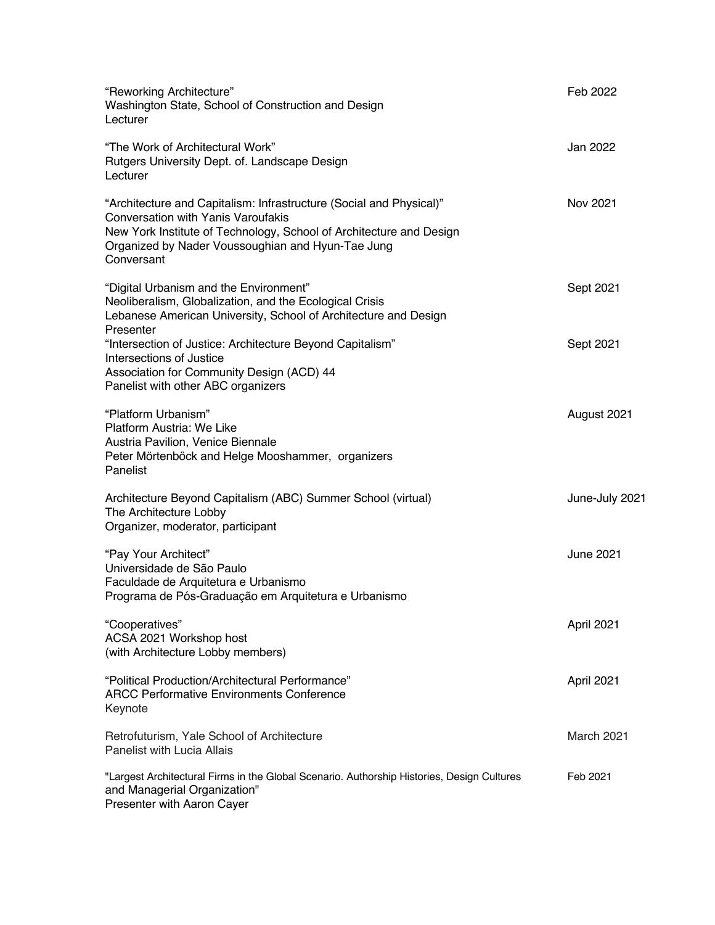| "Reworking Architecture"<br>Washington State, School of Construction and Design<br>Lecturer                                                                                                                                                                | Feb 2022         |
|------------------------------------------------------------------------------------------------------------------------------------------------------------------------------------------------------------------------------------------------------------|------------------|
| "The Work of Architectural Work"<br>Rutgers University Dept. of. Landscape Design<br>Lecturer                                                                                                                                                              | Jan 2022         |
| "Architecture and Capitalism: Infrastructure (Social and Physical)"<br><b>Conversation with Yanis Varoufakis</b><br>New York Institute of Technology, School of Architecture and Design<br>Organized by Nader Voussoughian and Hyun-Tae Jung<br>Conversant | Nov 2021         |
| "Digital Urbanism and the Environment"<br>Neoliberalism, Globalization, and the Ecological Crisis<br>Lebanese American University, School of Architecture and Design<br>Presenter                                                                          | Sept 2021        |
| "Intersection of Justice: Architecture Beyond Capitalism"<br>Intersections of Justice<br>Association for Community Design (ACD) 44<br>Panelist with other ABC organizers                                                                                   | Sept 2021        |
| "Platform Urbanism"<br>Platform Austria: We Like<br>Austria Pavilion, Venice Biennale<br>Peter Mörtenböck and Helge Mooshammer, organizers<br>Panelist                                                                                                     | August 2021      |
| Architecture Beyond Capitalism (ABC) Summer School (virtual)<br>The Architecture Lobby<br>Organizer, moderator, participant                                                                                                                                | June-July 2021   |
| "Pay Your Architect"<br>Universidade de São Paulo<br>Faculdade de Arquitetura e Urbanismo<br>Programa de Pós-Graduação em Arquitetura e Urbanismo                                                                                                          | <b>June 2021</b> |
| "Cooperatives"<br>ACSA 2021 Workshop host<br>(with Architecture Lobby members)                                                                                                                                                                             | April 2021       |
| "Political Production/Architectural Performance"<br><b>ARCC Performative Environments Conference</b><br>Keynote                                                                                                                                            | April 2021       |
| Retrofuturism, Yale School of Architecture<br>Panelist with Lucia Allais                                                                                                                                                                                   | March 2021       |
| "Largest Architectural Firms in the Global Scenario. Authorship Histories, Design Cultures<br>and Managerial Organization"<br>Presenter with Aaron Cayer                                                                                                   | Feb 2021         |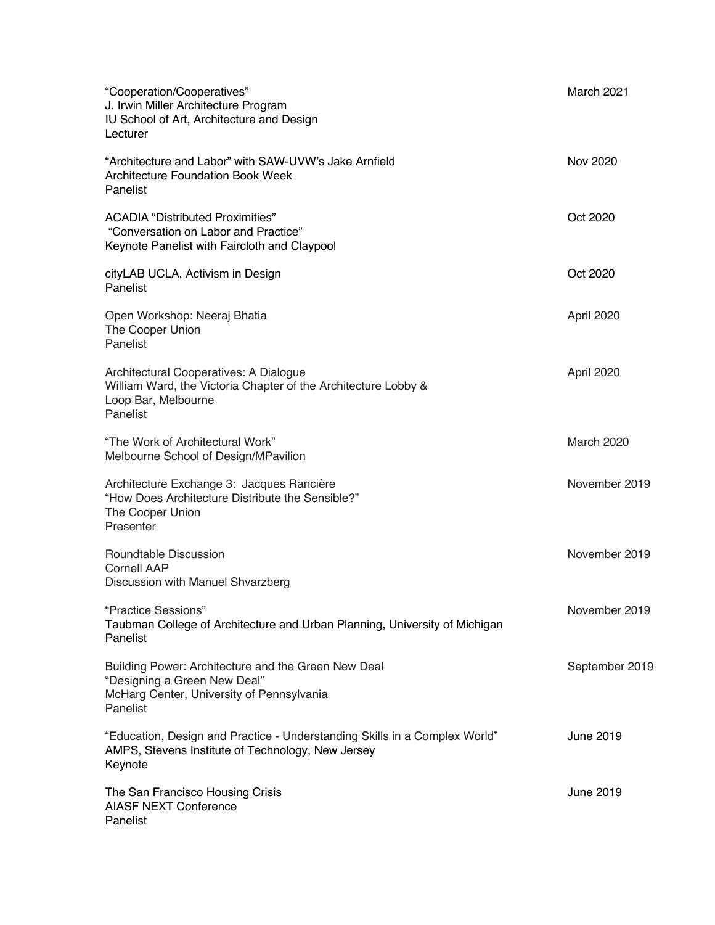| "Cooperation/Cooperatives"<br>J. Irwin Miller Architecture Program<br>IU School of Art, Architecture and Design<br>Lecturer                  | March 2021        |
|----------------------------------------------------------------------------------------------------------------------------------------------|-------------------|
| "Architecture and Labor" with SAW-UVW's Jake Arnfield<br><b>Architecture Foundation Book Week</b><br>Panelist                                | Nov 2020          |
| <b>ACADIA "Distributed Proximities"</b><br>"Conversation on Labor and Practice"<br>Keynote Panelist with Faircloth and Claypool              | Oct 2020          |
| cityLAB UCLA, Activism in Design<br>Panelist                                                                                                 | Oct 2020          |
| Open Workshop: Neeraj Bhatia<br>The Cooper Union<br>Panelist                                                                                 | April 2020        |
| Architectural Cooperatives: A Dialogue<br>William Ward, the Victoria Chapter of the Architecture Lobby &<br>Loop Bar, Melbourne<br>Panelist  | April 2020        |
| "The Work of Architectural Work"<br>Melbourne School of Design/MPavilion                                                                     | <b>March 2020</b> |
| Architecture Exchange 3: Jacques Rancière<br>"How Does Architecture Distribute the Sensible?"<br>The Cooper Union<br>Presenter               | November 2019     |
| Roundtable Discussion<br><b>Cornell AAP</b><br>Discussion with Manuel Shvarzberg                                                             | November 2019     |
| "Practice Sessions"<br>Taubman College of Architecture and Urban Planning, University of Michigan<br>Panelist                                | November 2019     |
| Building Power: Architecture and the Green New Deal<br>"Designing a Green New Deal"<br>McHarg Center, University of Pennsylvania<br>Panelist | September 2019    |
| "Education, Design and Practice - Understanding Skills in a Complex World"<br>AMPS, Stevens Institute of Technology, New Jersey<br>Keynote   | June 2019         |
| The San Francisco Housing Crisis<br><b>AIASF NEXT Conference</b><br>Panelist                                                                 | June 2019         |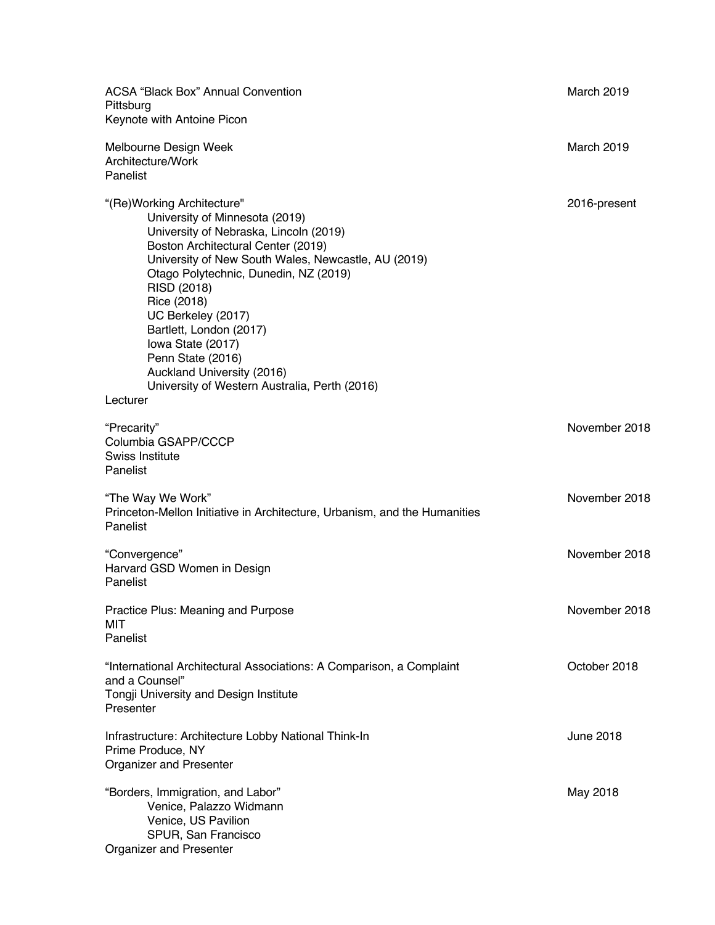| <b>ACSA "Black Box" Annual Convention</b><br>Pittsburg<br>Keynote with Antoine Picon                                                                                                                                                                                                                                                                                                                                                                              | March 2019       |
|-------------------------------------------------------------------------------------------------------------------------------------------------------------------------------------------------------------------------------------------------------------------------------------------------------------------------------------------------------------------------------------------------------------------------------------------------------------------|------------------|
| Melbourne Design Week<br>Architecture/Work<br>Panelist                                                                                                                                                                                                                                                                                                                                                                                                            | March 2019       |
| "(Re) Working Architecture"<br>University of Minnesota (2019)<br>University of Nebraska, Lincoln (2019)<br>Boston Architectural Center (2019)<br>University of New South Wales, Newcastle, AU (2019)<br>Otago Polytechnic, Dunedin, NZ (2019)<br>RISD (2018)<br>Rice (2018)<br>UC Berkeley (2017)<br>Bartlett, London (2017)<br>lowa State (2017)<br>Penn State (2016)<br>Auckland University (2016)<br>University of Western Australia, Perth (2016)<br>Lecturer | 2016-present     |
| "Precarity"<br>Columbia GSAPP/CCCP<br>Swiss Institute<br>Panelist                                                                                                                                                                                                                                                                                                                                                                                                 | November 2018    |
| "The Way We Work"<br>Princeton-Mellon Initiative in Architecture, Urbanism, and the Humanities<br>Panelist                                                                                                                                                                                                                                                                                                                                                        | November 2018    |
| "Convergence"<br>Harvard GSD Women in Design<br>Panelist                                                                                                                                                                                                                                                                                                                                                                                                          | November 2018    |
| Practice Plus: Meaning and Purpose<br>MIT<br>Panelist                                                                                                                                                                                                                                                                                                                                                                                                             | November 2018    |
| "International Architectural Associations: A Comparison, a Complaint<br>and a Counsel"<br>Tongji University and Design Institute<br>Presenter                                                                                                                                                                                                                                                                                                                     | October 2018     |
| Infrastructure: Architecture Lobby National Think-In<br>Prime Produce, NY<br><b>Organizer and Presenter</b>                                                                                                                                                                                                                                                                                                                                                       | <b>June 2018</b> |
| "Borders, Immigration, and Labor"<br>Venice, Palazzo Widmann<br>Venice, US Pavilion<br>SPUR, San Francisco<br>Organizer and Presenter                                                                                                                                                                                                                                                                                                                             | May 2018         |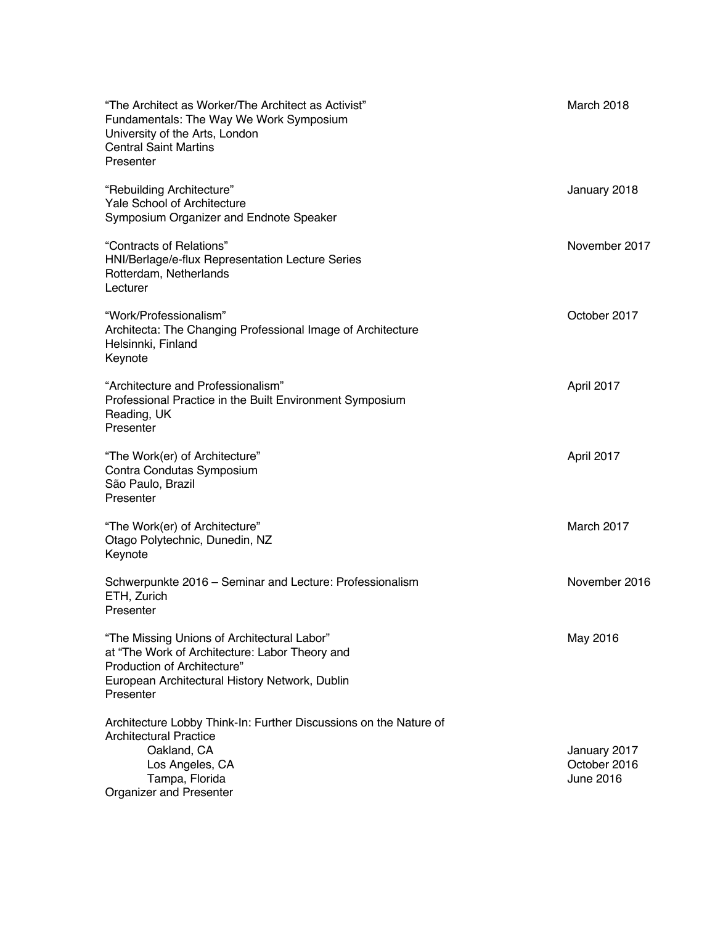| "The Architect as Worker/The Architect as Activist"<br>Fundamentals: The Way We Work Symposium<br>University of the Arts, London<br><b>Central Saint Martins</b><br>Presenter               | March 2018                                |
|---------------------------------------------------------------------------------------------------------------------------------------------------------------------------------------------|-------------------------------------------|
| "Rebuilding Architecture"<br>Yale School of Architecture<br>Symposium Organizer and Endnote Speaker                                                                                         | January 2018                              |
| "Contracts of Relations"<br>HNI/Berlage/e-flux Representation Lecture Series<br>Rotterdam, Netherlands<br>Lecturer                                                                          | November 2017                             |
| "Work/Professionalism"<br>Architecta: The Changing Professional Image of Architecture<br>Helsinnki, Finland<br>Keynote                                                                      | October 2017                              |
| "Architecture and Professionalism"<br>Professional Practice in the Built Environment Symposium<br>Reading, UK<br>Presenter                                                                  | April 2017                                |
| "The Work(er) of Architecture"<br>Contra Condutas Symposium<br>São Paulo, Brazil<br>Presenter                                                                                               | April 2017                                |
| "The Work(er) of Architecture"<br>Otago Polytechnic, Dunedin, NZ<br>Keynote                                                                                                                 | March 2017                                |
| Schwerpunkte 2016 - Seminar and Lecture: Professionalism<br>ETH, Zurich<br>Presenter                                                                                                        | November 2016                             |
| "The Missing Unions of Architectural Labor"<br>at "The Work of Architecture: Labor Theory and<br>Production of Architecture"<br>European Architectural History Network, Dublin<br>Presenter | May 2016                                  |
| Architecture Lobby Think-In: Further Discussions on the Nature of<br><b>Architectural Practice</b><br>Oakland, CA<br>Los Angeles, CA<br>Tampa, Florida<br>Organizer and Presenter           | January 2017<br>October 2016<br>June 2016 |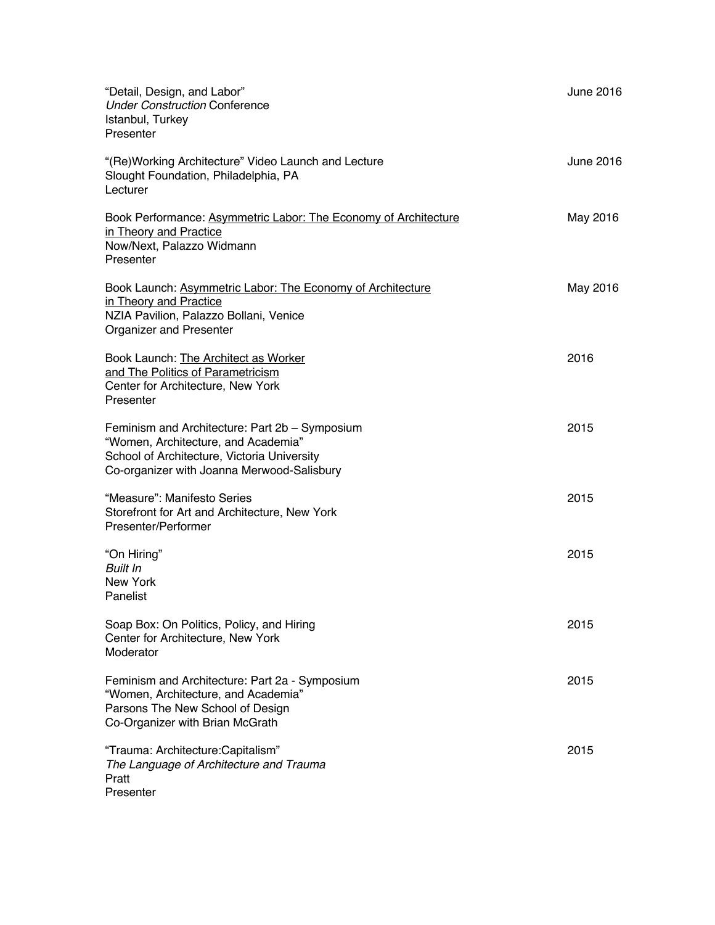| "Detail, Design, and Labor"<br><b>Under Construction Conference</b><br>Istanbul, Turkey<br>Presenter                                                                               | June 2016 |
|------------------------------------------------------------------------------------------------------------------------------------------------------------------------------------|-----------|
| "(Re)Working Architecture" Video Launch and Lecture<br>Slought Foundation, Philadelphia, PA<br>Lecturer                                                                            | June 2016 |
| Book Performance: Asymmetric Labor: The Economy of Architecture<br>in Theory and Practice<br>Now/Next, Palazzo Widmann<br>Presenter                                                | May 2016  |
| Book Launch: Asymmetric Labor: The Economy of Architecture<br>in Theory and Practice<br>NZIA Pavilion, Palazzo Bollani, Venice<br>Organizer and Presenter                          | May 2016  |
| Book Launch: The Architect as Worker<br>and The Politics of Parametricism<br>Center for Architecture, New York<br>Presenter                                                        | 2016      |
| Feminism and Architecture: Part 2b - Symposium<br>"Women, Architecture, and Academia"<br>School of Architecture, Victoria University<br>Co-organizer with Joanna Merwood-Salisbury | 2015      |
| "Measure": Manifesto Series<br>Storefront for Art and Architecture, New York<br>Presenter/Performer                                                                                | 2015      |
| "On Hiring"<br><b>Built In</b><br><b>New York</b><br>Panelist                                                                                                                      | 2015      |
| Soap Box: On Politics, Policy, and Hiring<br>Center for Architecture, New York<br>Moderator                                                                                        | 2015      |
| Feminism and Architecture: Part 2a - Symposium<br>"Women, Architecture, and Academia"<br>Parsons The New School of Design<br>Co-Organizer with Brian McGrath                       | 2015      |
| "Trauma: Architecture: Capitalism"<br>The Language of Architecture and Trauma<br>Pratt<br>Presenter                                                                                | 2015      |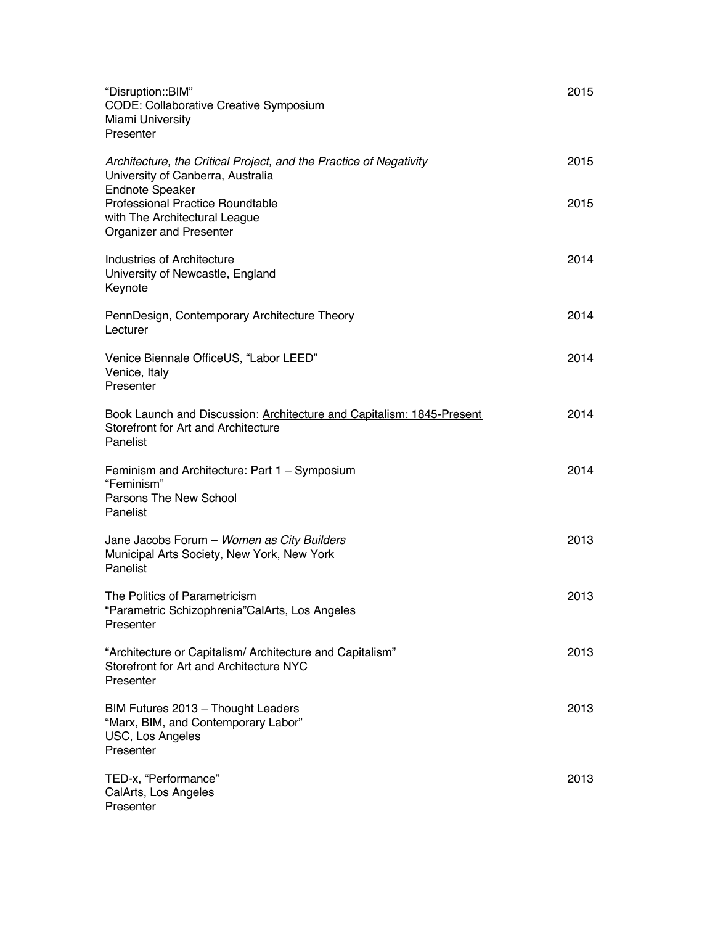| "Disruption::BIM"<br><b>CODE: Collaborative Creative Symposium</b><br>Miami University<br>Presenter                           | 2015 |
|-------------------------------------------------------------------------------------------------------------------------------|------|
| Architecture, the Critical Project, and the Practice of Negativity<br>University of Canberra, Australia                       | 2015 |
| <b>Endnote Speaker</b><br><b>Professional Practice Roundtable</b><br>with The Architectural League<br>Organizer and Presenter | 2015 |
| Industries of Architecture<br>University of Newcastle, England<br>Keynote                                                     | 2014 |
| PennDesign, Contemporary Architecture Theory<br>Lecturer                                                                      | 2014 |
| Venice Biennale OfficeUS, "Labor LEED"<br>Venice, Italy<br>Presenter                                                          | 2014 |
| Book Launch and Discussion: Architecture and Capitalism: 1845-Present<br>Storefront for Art and Architecture<br>Panelist      | 2014 |
| Feminism and Architecture: Part 1 - Symposium<br>"Feminism"<br>Parsons The New School<br>Panelist                             | 2014 |
| Jane Jacobs Forum - Women as City Builders<br>Municipal Arts Society, New York, New York<br>Panelist                          | 2013 |
| The Politics of Parametricism<br>"Parametric Schizophrenia"CalArts, Los Angeles<br>Presenter                                  | 2013 |
| "Architecture or Capitalism/ Architecture and Capitalism"<br>Storefront for Art and Architecture NYC<br>Presenter             | 2013 |
| BIM Futures 2013 - Thought Leaders<br>"Marx, BIM, and Contemporary Labor"<br>USC, Los Angeles<br>Presenter                    | 2013 |
| TED-x, "Performance"<br>CalArts, Los Angeles<br>Presenter                                                                     | 2013 |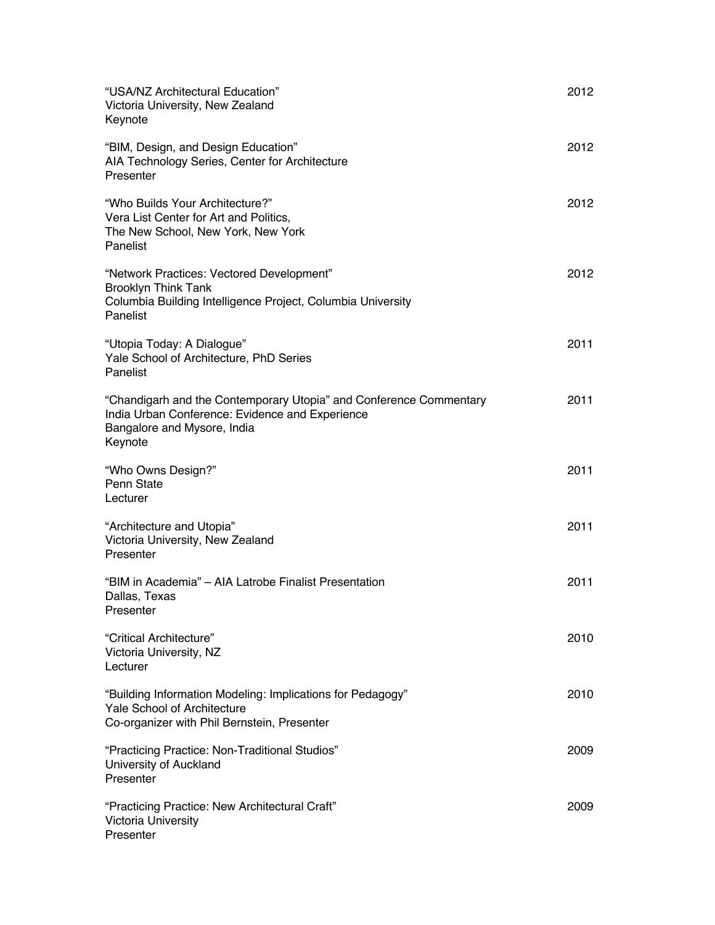| "USA/NZ Architectural Education"<br>Victoria University, New Zealand<br>Keynote                                                                                 | 2012 |
|-----------------------------------------------------------------------------------------------------------------------------------------------------------------|------|
| "BIM, Design, and Design Education"<br>AIA Technology Series, Center for Architecture<br>Presenter                                                              | 2012 |
| "Who Builds Your Architecture?"<br>Vera List Center for Art and Politics,<br>The New School, New York, New York<br>Panelist                                     | 2012 |
| "Network Practices: Vectored Development"<br><b>Brooklyn Think Tank</b><br>Columbia Building Intelligence Project, Columbia University<br>Panelist              | 2012 |
| "Utopia Today: A Dialogue"<br>Yale School of Architecture, PhD Series<br>Panelist                                                                               | 2011 |
| "Chandigarh and the Contemporary Utopia" and Conference Commentary<br>India Urban Conference: Evidence and Experience<br>Bangalore and Mysore, India<br>Keynote | 2011 |
| "Who Owns Design?"<br>Penn State<br>Lecturer                                                                                                                    | 2011 |
| "Architecture and Utopia"<br>Victoria University, New Zealand<br>Presenter                                                                                      | 2011 |
| "BIM in Academia" – AIA Latrobe Finalist Presentation<br>Dallas, Texas<br>Presenter                                                                             | 2011 |
| "Critical Architecture"<br>Victoria University, NZ<br>Lecturer                                                                                                  | 2010 |
| "Building Information Modeling: Implications for Pedagogy"<br><b>Yale School of Architecture</b><br>Co-organizer with Phil Bernstein, Presenter                 | 2010 |
| "Practicing Practice: Non-Traditional Studios"<br>University of Auckland<br>Presenter                                                                           | 2009 |
| "Practicing Practice: New Architectural Craft"<br><b>Victoria University</b><br>Presenter                                                                       | 2009 |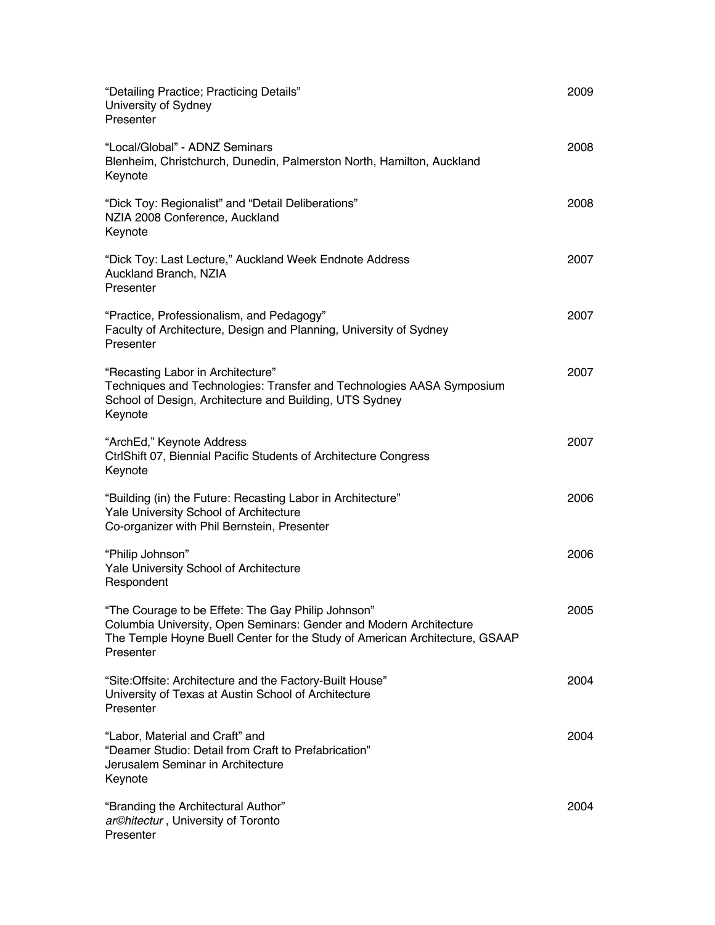| "Detailing Practice; Practicing Details"<br>University of Sydney<br>Presenter                                                                                                                                        | 2009 |
|----------------------------------------------------------------------------------------------------------------------------------------------------------------------------------------------------------------------|------|
| "Local/Global" - ADNZ Seminars<br>Blenheim, Christchurch, Dunedin, Palmerston North, Hamilton, Auckland<br>Keynote                                                                                                   | 2008 |
| "Dick Toy: Regionalist" and "Detail Deliberations"<br>NZIA 2008 Conference, Auckland<br>Keynote                                                                                                                      | 2008 |
| "Dick Toy: Last Lecture," Auckland Week Endnote Address<br>Auckland Branch, NZIA<br>Presenter                                                                                                                        | 2007 |
| "Practice, Professionalism, and Pedagogy"<br>Faculty of Architecture, Design and Planning, University of Sydney<br>Presenter                                                                                         | 2007 |
| "Recasting Labor in Architecture"<br>Techniques and Technologies: Transfer and Technologies AASA Symposium<br>School of Design, Architecture and Building, UTS Sydney<br>Keynote                                     | 2007 |
| "ArchEd," Keynote Address<br>CtrlShift 07, Biennial Pacific Students of Architecture Congress<br>Keynote                                                                                                             | 2007 |
| "Building (in) the Future: Recasting Labor in Architecture"<br>Yale University School of Architecture<br>Co-organizer with Phil Bernstein, Presenter                                                                 | 2006 |
| "Philip Johnson"<br>Yale University School of Architecture<br>Respondent                                                                                                                                             | 2006 |
| "The Courage to be Effete: The Gay Philip Johnson'<br>Columbia University, Open Seminars: Gender and Modern Architecture<br>The Temple Hoyne Buell Center for the Study of American Architecture, GSAAP<br>Presenter | 2005 |
| "Site:Offsite: Architecture and the Factory-Built House"<br>University of Texas at Austin School of Architecture<br>Presenter                                                                                        | 2004 |
| "Labor, Material and Craft" and<br>"Deamer Studio: Detail from Craft to Prefabrication"<br>Jerusalem Seminar in Architecture<br>Keynote                                                                              | 2004 |
| "Branding the Architectural Author"<br>ar©hitectur, University of Toronto<br>Presenter                                                                                                                               | 2004 |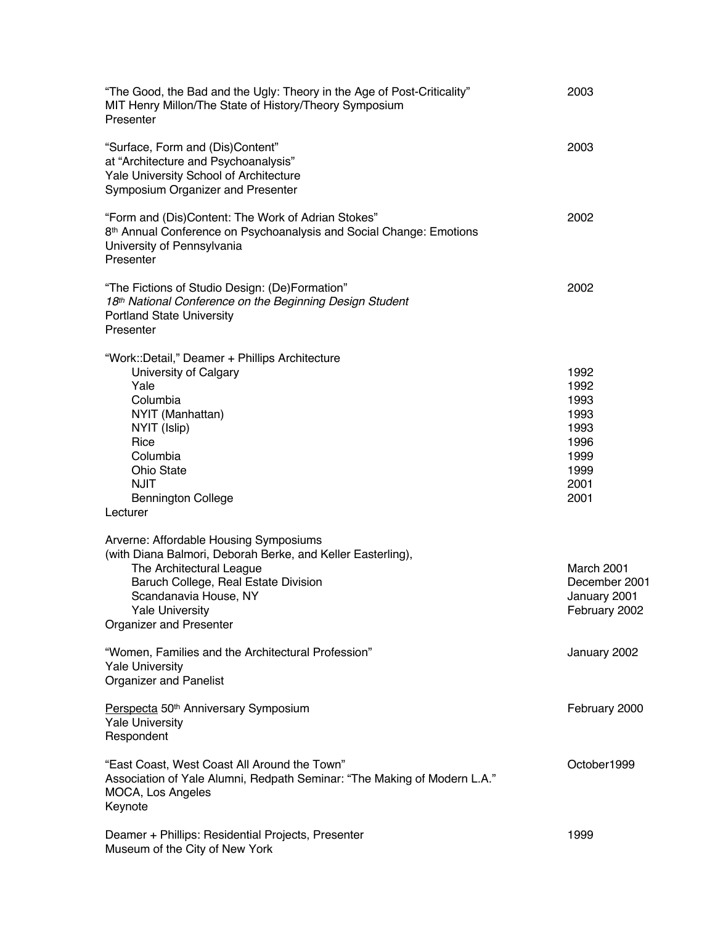| "The Good, the Bad and the Ugly: Theory in the Age of Post-Criticality"<br>MIT Henry Millon/The State of History/Theory Symposium<br>Presenter                                                                                                          | 2003                                                                         |
|---------------------------------------------------------------------------------------------------------------------------------------------------------------------------------------------------------------------------------------------------------|------------------------------------------------------------------------------|
| "Surface, Form and (Dis)Content"<br>at "Architecture and Psychoanalysis"<br>Yale University School of Architecture<br>Symposium Organizer and Presenter                                                                                                 | 2003                                                                         |
| "Form and (Dis)Content: The Work of Adrian Stokes"<br>8 <sup>th</sup> Annual Conference on Psychoanalysis and Social Change: Emotions<br>University of Pennsylvania<br>Presenter                                                                        | 2002                                                                         |
| "The Fictions of Studio Design: (De)Formation"<br>18th National Conference on the Beginning Design Student<br><b>Portland State University</b><br>Presenter                                                                                             | 2002                                                                         |
| "Work::Detail," Deamer + Phillips Architecture<br>University of Calgary<br>Yale<br>Columbia<br>NYIT (Manhattan)<br>NYIT (Islip)<br>Rice<br>Columbia<br><b>Ohio State</b><br><b>NJIT</b><br><b>Bennington College</b>                                    | 1992<br>1992<br>1993<br>1993<br>1993<br>1996<br>1999<br>1999<br>2001<br>2001 |
| Lecturer                                                                                                                                                                                                                                                |                                                                              |
| Arverne: Affordable Housing Symposiums<br>(with Diana Balmori, Deborah Berke, and Keller Easterling),<br>The Architectural League<br>Baruch College, Real Estate Division<br>Scandanavia House, NY<br><b>Yale University</b><br>Organizer and Presenter | March 2001<br>December 2001<br>January 2001<br>February 2002                 |
| "Women, Families and the Architectural Profession"<br><b>Yale University</b><br><b>Organizer and Panelist</b>                                                                                                                                           | January 2002                                                                 |
| Perspecta 50 <sup>th</sup> Anniversary Symposium<br><b>Yale University</b><br>Respondent                                                                                                                                                                | February 2000                                                                |
| "East Coast, West Coast All Around the Town"<br>Association of Yale Alumni, Redpath Seminar: "The Making of Modern L.A."<br>MOCA, Los Angeles<br>Keynote                                                                                                | October1999                                                                  |
| Deamer + Phillips: Residential Projects, Presenter<br>Museum of the City of New York                                                                                                                                                                    | 1999                                                                         |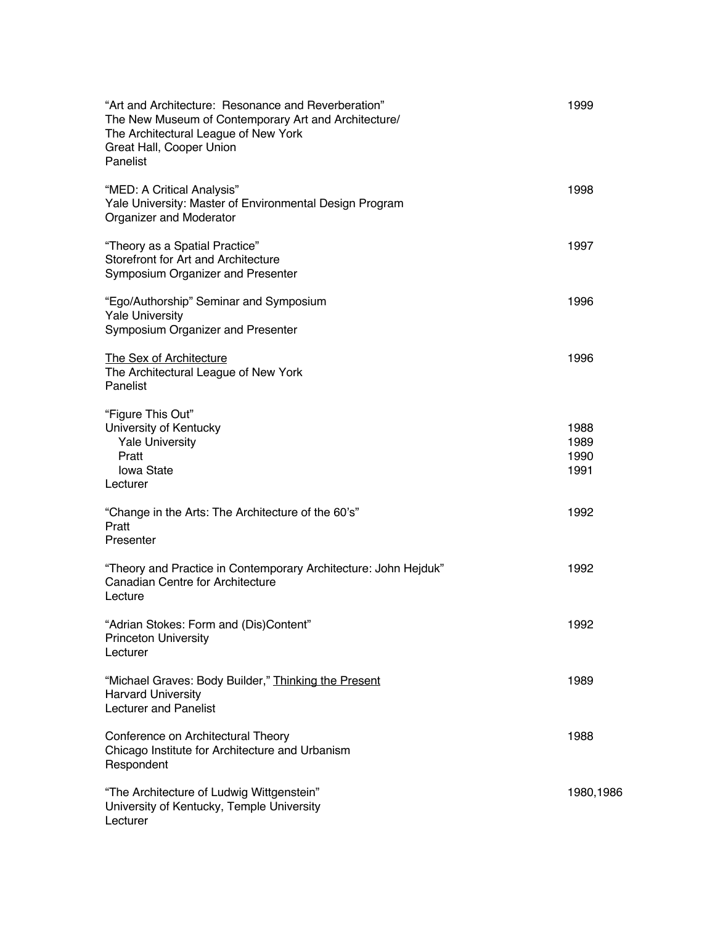| "Art and Architecture: Resonance and Reverberation"<br>The New Museum of Contemporary Art and Architecture/<br>The Architectural League of New York<br>Great Hall, Cooper Union<br>Panelist | 1999                         |
|---------------------------------------------------------------------------------------------------------------------------------------------------------------------------------------------|------------------------------|
| "MED: A Critical Analysis"<br>Yale University: Master of Environmental Design Program<br>Organizer and Moderator                                                                            | 1998                         |
| "Theory as a Spatial Practice"<br>Storefront for Art and Architecture<br>Symposium Organizer and Presenter                                                                                  | 1997                         |
| "Ego/Authorship" Seminar and Symposium<br><b>Yale University</b><br>Symposium Organizer and Presenter                                                                                       | 1996                         |
| The Sex of Architecture<br>The Architectural League of New York<br>Panelist                                                                                                                 | 1996                         |
| "Figure This Out"<br>University of Kentucky<br><b>Yale University</b><br>Pratt<br><b>lowa State</b><br>Lecturer                                                                             | 1988<br>1989<br>1990<br>1991 |
| "Change in the Arts: The Architecture of the 60's"<br>Pratt<br>Presenter                                                                                                                    | 1992                         |
| "Theory and Practice in Contemporary Architecture: John Hejduk"<br>Canadian Centre for Architecture<br>Lecture                                                                              | 1992                         |
| "Adrian Stokes: Form and (Dis)Content"<br><b>Princeton University</b><br>Lecturer                                                                                                           | 1992                         |
| "Michael Graves: Body Builder," Thinking the Present<br><b>Harvard University</b><br><b>Lecturer and Panelist</b>                                                                           | 1989                         |
| Conference on Architectural Theory<br>Chicago Institute for Architecture and Urbanism<br>Respondent                                                                                         | 1988                         |
| "The Architecture of Ludwig Wittgenstein"<br>University of Kentucky, Temple University<br>Lecturer                                                                                          | 1980,1986                    |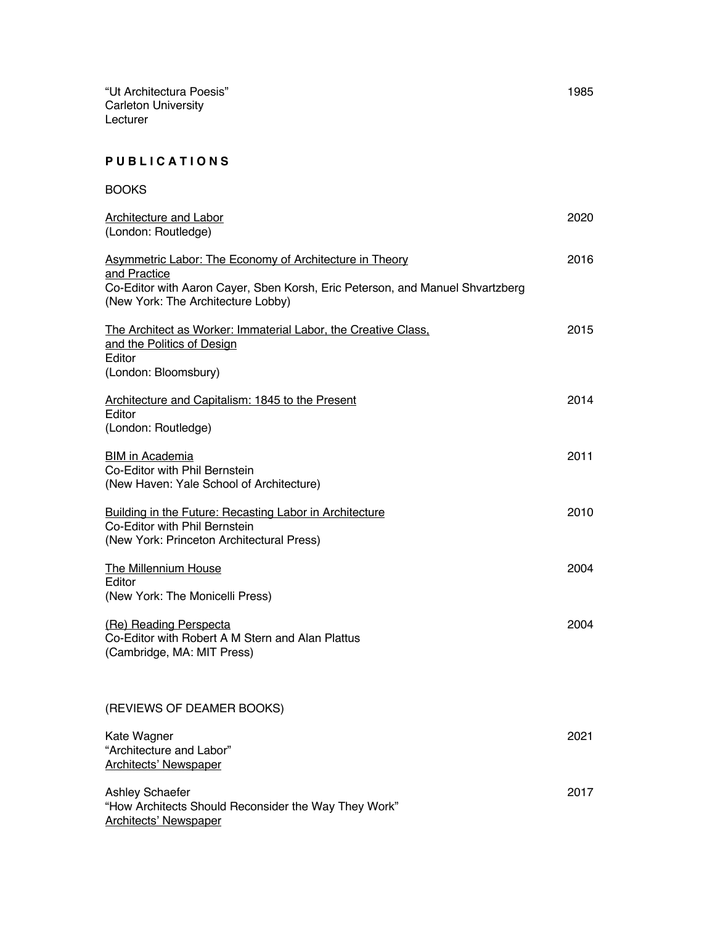"Ut Architectura Poesis" 1985 Carleton University Lecturer

### **P U B L I C A T I O N S**

| <b>BOOKS</b>                                                                                                                                                                                          |      |
|-------------------------------------------------------------------------------------------------------------------------------------------------------------------------------------------------------|------|
| <b>Architecture and Labor</b><br>(London: Routledge)                                                                                                                                                  | 2020 |
| <b>Asymmetric Labor: The Economy of Architecture in Theory</b><br>and Practice<br>Co-Editor with Aaron Cayer, Sben Korsh, Eric Peterson, and Manuel Shvartzberg<br>(New York: The Architecture Lobby) | 2016 |
| The Architect as Worker: Immaterial Labor, the Creative Class.<br>and the Politics of Design<br>Editor<br>(London: Bloomsbury)                                                                        | 2015 |
| Architecture and Capitalism: 1845 to the Present<br>Editor<br>(London: Routledge)                                                                                                                     | 2014 |
| <b>BIM</b> in Academia<br>Co-Editor with Phil Bernstein<br>(New Haven: Yale School of Architecture)                                                                                                   | 2011 |
| Building in the Future: Recasting Labor in Architecture<br>Co-Editor with Phil Bernstein<br>(New York: Princeton Architectural Press)                                                                 | 2010 |
| <b>The Millennium House</b><br>Editor<br>(New York: The Monicelli Press)                                                                                                                              | 2004 |
| (Re) Reading Perspecta<br>Co-Editor with Robert A M Stern and Alan Plattus<br>(Cambridge, MA: MIT Press)                                                                                              | 2004 |
| (REVIEWS OF DEAMER BOOKS)                                                                                                                                                                             |      |
| Kate Wagner<br>"Architecture and Labor"<br><b>Architects' Newspaper</b>                                                                                                                               | 2021 |
| <b>Ashley Schaefer</b><br>"How Architects Should Reconsider the Way They Work"<br><b>Architects' Newspaper</b>                                                                                        | 2017 |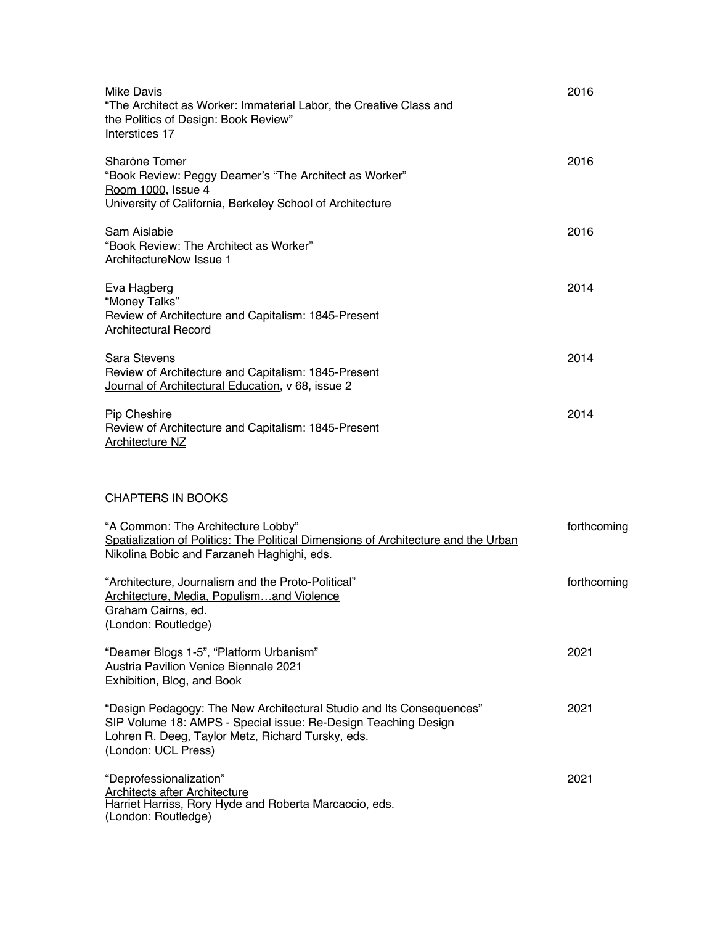| Mike Davis<br>"The Architect as Worker: Immaterial Labor, the Creative Class and<br>the Politics of Design: Book Review"<br>Interstices 17                                                                         | 2016        |
|--------------------------------------------------------------------------------------------------------------------------------------------------------------------------------------------------------------------|-------------|
| Sharóne Tomer<br>"Book Review: Peggy Deamer's "The Architect as Worker"<br>Room 1000, Issue 4<br>University of California, Berkeley School of Architecture                                                         | 2016        |
| Sam Aislabie<br>"Book Review: The Architect as Worker"<br>ArchitectureNow Issue 1                                                                                                                                  | 2016        |
| Eva Hagberg<br>"Money Talks"<br>Review of Architecture and Capitalism: 1845-Present<br><b>Architectural Record</b>                                                                                                 | 2014        |
| Sara Stevens<br>Review of Architecture and Capitalism: 1845-Present<br>Journal of Architectural Education, v 68, issue 2                                                                                           | 2014        |
| Pip Cheshire<br>Review of Architecture and Capitalism: 1845-Present<br><b>Architecture NZ</b>                                                                                                                      | 2014        |
| <b>CHAPTERS IN BOOKS</b>                                                                                                                                                                                           |             |
| "A Common: The Architecture Lobby"<br>Spatialization of Politics: The Political Dimensions of Architecture and the Urban<br>Nikolina Bobic and Farzaneh Haghighi, eds.                                             | forthcoming |
| "Architecture, Journalism and the Proto-Political"<br>Architecture, Media, Populismand Violence<br>Graham Cairns, ed.<br>(London: Routledge)                                                                       | forthcoming |
| "Deamer Blogs 1-5", "Platform Urbanism"<br><b>Austria Pavilion Venice Biennale 2021</b><br>Exhibition, Blog, and Book                                                                                              | 2021        |
| "Design Pedagogy: The New Architectural Studio and Its Consequences"<br>SIP Volume 18: AMPS - Special issue: Re-Design Teaching Design<br>Lohren R. Deeg, Taylor Metz, Richard Tursky, eds.<br>(London: UCL Press) | 2021        |
| "Deprofessionalization"<br><b>Architects after Architecture</b><br>Harriet Harriss, Rory Hyde and Roberta Marcaccio, eds.<br>(London: Routledge)                                                                   | 2021        |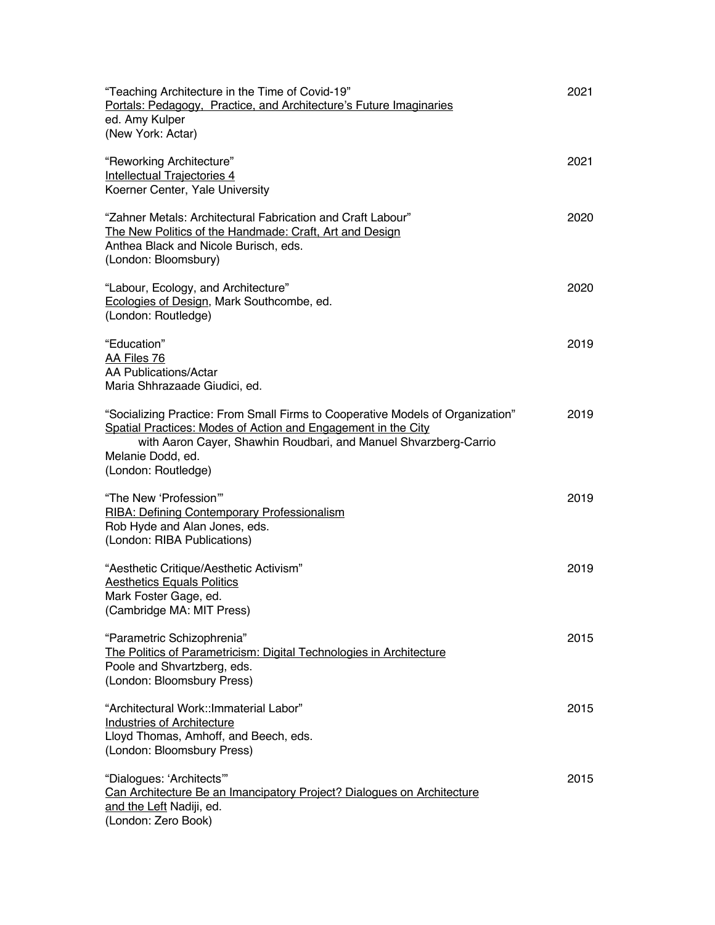| "Teaching Architecture in the Time of Covid-19"<br>Portals: Pedagogy, Practice, and Architecture's Future Imaginaries<br>ed. Amy Kulper<br>(New York: Actar)                                                                                                    | 2021 |
|-----------------------------------------------------------------------------------------------------------------------------------------------------------------------------------------------------------------------------------------------------------------|------|
| "Reworking Architecture"<br><b>Intellectual Trajectories 4</b><br>Koerner Center, Yale University                                                                                                                                                               | 2021 |
| "Zahner Metals: Architectural Fabrication and Craft Labour"<br>The New Politics of the Handmade: Craft, Art and Design<br>Anthea Black and Nicole Burisch, eds.<br>(London: Bloomsbury)                                                                         | 2020 |
| "Labour, Ecology, and Architecture"<br>Ecologies of Design, Mark Southcombe, ed.<br>(London: Routledge)                                                                                                                                                         | 2020 |
| "Education"<br>AA Files 76<br>AA Publications/Actar<br>Maria Shhrazaade Giudici, ed.                                                                                                                                                                            | 2019 |
| "Socializing Practice: From Small Firms to Cooperative Models of Organization"<br>Spatial Practices: Modes of Action and Engagement in the City<br>with Aaron Cayer, Shawhin Roudbari, and Manuel Shvarzberg-Carrio<br>Melanie Dodd, ed.<br>(London: Routledge) | 2019 |
| "The New 'Profession""<br>RIBA: Defining Contemporary Professionalism<br>Rob Hyde and Alan Jones, eds.<br>(London: RIBA Publications)                                                                                                                           | 2019 |
| "Aesthetic Critique/Aesthetic Activism"<br><b>Aesthetics Equals Politics</b><br>Mark Foster Gage, ed.<br>(Cambridge MA: MIT Press)                                                                                                                              | 2019 |
| "Parametric Schizophrenia"<br>The Politics of Parametricism: Digital Technologies in Architecture<br>Poole and Shvartzberg, eds.<br>(London: Bloomsbury Press)                                                                                                  | 2015 |
| "Architectural Work:: Immaterial Labor"<br><b>Industries of Architecture</b><br>Lloyd Thomas, Amhoff, and Beech, eds.<br>(London: Bloomsbury Press)                                                                                                             | 2015 |
| "Dialogues: 'Architects'"<br>Can Architecture Be an Imancipatory Project? Dialogues on Architecture<br>and the Left Nadiji, ed.<br>(London: Zero Book)                                                                                                          | 2015 |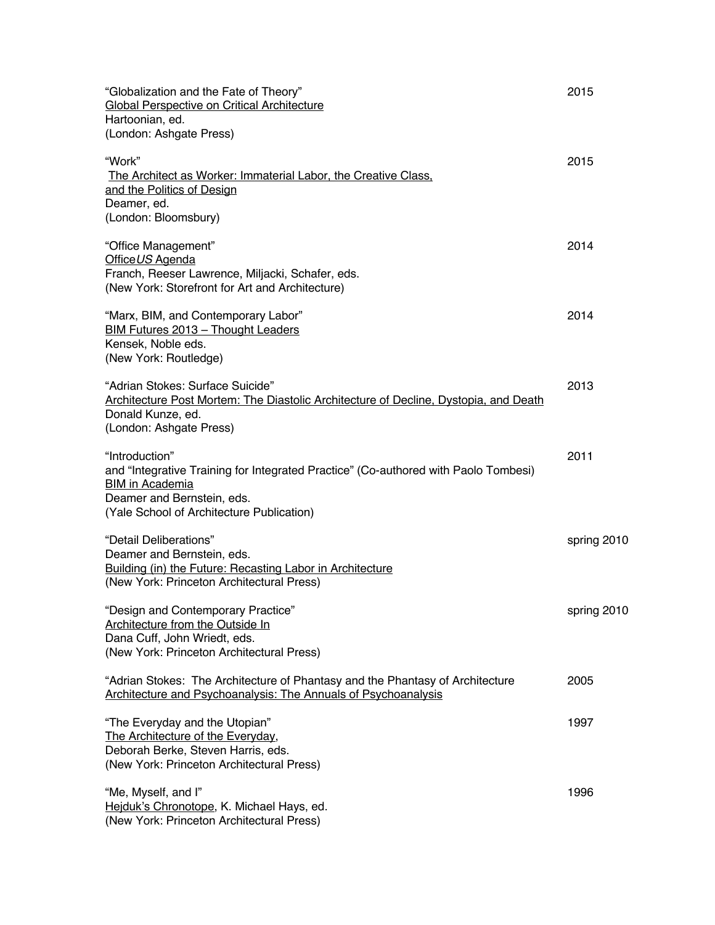| "Globalization and the Fate of Theory"<br>Global Perspective on Critical Architecture<br>Hartoonian, ed.<br>(London: Ashgate Press)                                                                        | 2015        |
|------------------------------------------------------------------------------------------------------------------------------------------------------------------------------------------------------------|-------------|
| "Work"<br>The Architect as Worker: Immaterial Labor, the Creative Class,<br>and the Politics of Design<br>Deamer, ed.                                                                                      | 2015        |
| (London: Bloomsbury)                                                                                                                                                                                       |             |
| "Office Management"<br>Office US Agenda<br>Franch, Reeser Lawrence, Miljacki, Schafer, eds.<br>(New York: Storefront for Art and Architecture)                                                             | 2014        |
| "Marx, BIM, and Contemporary Labor"<br>BIM Futures 2013 - Thought Leaders<br>Kensek, Noble eds.                                                                                                            | 2014        |
| (New York: Routledge)<br>"Adrian Stokes: Surface Suicide"<br>Architecture Post Mortem: The Diastolic Architecture of Decline, Dystopia, and Death<br>Donald Kunze, ed.<br>(London: Ashgate Press)          | 2013        |
| "Introduction"<br>and "Integrative Training for Integrated Practice" (Co-authored with Paolo Tombesi)<br><b>BIM in Academia</b><br>Deamer and Bernstein, eds.<br>(Yale School of Architecture Publication) | 2011        |
| "Detail Deliberations"<br>Deamer and Bernstein, eds.<br>Building (in) the Future: Recasting Labor in Architecture<br>(New York: Princeton Architectural Press)                                             | spring 2010 |
| "Design and Contemporary Practice"<br><b>Architecture from the Outside In</b><br>Dana Cuff, John Wriedt, eds.<br>(New York: Princeton Architectural Press)                                                 | spring 2010 |
| "Adrian Stokes: The Architecture of Phantasy and the Phantasy of Architecture<br><b>Architecture and Psychoanalysis: The Annuals of Psychoanalysis</b>                                                     | 2005        |
| "The Everyday and the Utopian"<br>The Architecture of the Everyday,<br>Deborah Berke, Steven Harris, eds.<br>(New York: Princeton Architectural Press)                                                     | 1997        |
| "Me, Myself, and I"<br>Hejduk's Chronotope, K. Michael Hays, ed.<br>(New York: Princeton Architectural Press)                                                                                              | 1996        |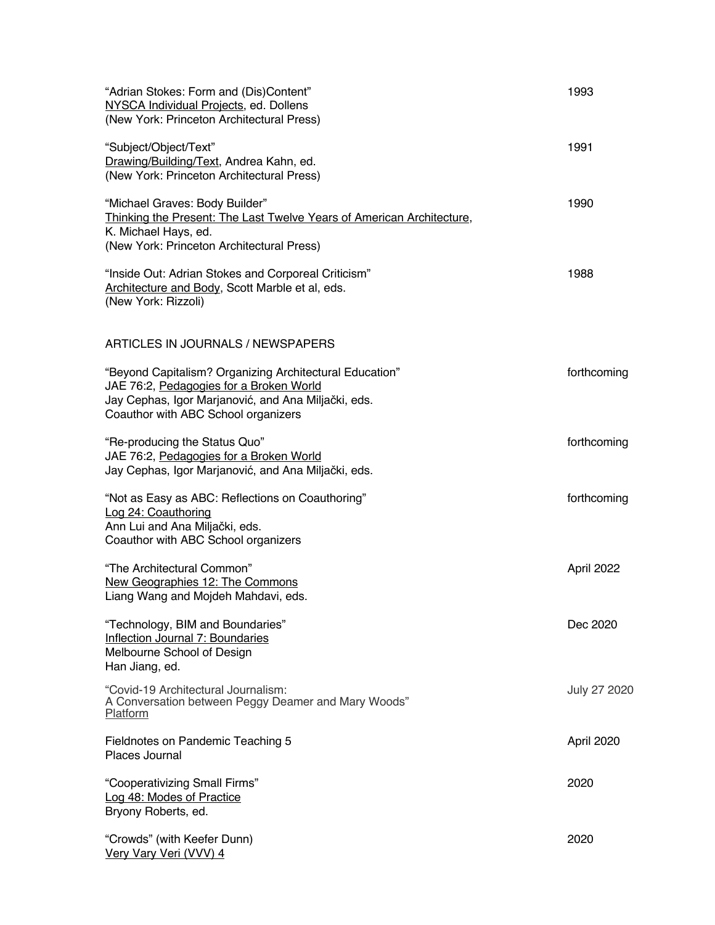| "Adrian Stokes: Form and (Dis)Content"<br>NYSCA Individual Projects, ed. Dollens<br>(New York: Princeton Architectural Press)                                                                    | 1993         |
|--------------------------------------------------------------------------------------------------------------------------------------------------------------------------------------------------|--------------|
| "Subject/Object/Text"<br>Drawing/Building/Text, Andrea Kahn, ed.<br>(New York: Princeton Architectural Press)                                                                                    | 1991         |
| "Michael Graves: Body Builder"<br>Thinking the Present: The Last Twelve Years of American Architecture,<br>K. Michael Hays, ed.<br>(New York: Princeton Architectural Press)                     | 1990         |
| "Inside Out: Adrian Stokes and Corporeal Criticism"<br>Architecture and Body, Scott Marble et al, eds.<br>(New York: Rizzoli)                                                                    | 1988         |
| ARTICLES IN JOURNALS / NEWSPAPERS                                                                                                                                                                |              |
| "Beyond Capitalism? Organizing Architectural Education"<br>JAE 76:2, Pedagogies for a Broken World<br>Jay Cephas, Igor Marjanović, and Ana Miljački, eds.<br>Coauthor with ABC School organizers | forthcoming  |
| "Re-producing the Status Quo"<br>JAE 76:2, Pedagogies for a Broken World<br>Jay Cephas, Igor Marjanović, and Ana Miljački, eds.                                                                  | forthcoming  |
| "Not as Easy as ABC: Reflections on Coauthoring"<br>Log 24: Coauthoring<br>Ann Lui and Ana Miljački, eds.<br>Coauthor with ABC School organizers                                                 | forthcoming  |
| "The Architectural Common"<br>New Geographies 12: The Commons<br>Liang Wang and Mojdeh Mahdavi, eds.                                                                                             | April 2022   |
| "Technology, BIM and Boundaries"<br><b>Inflection Journal 7: Boundaries</b><br>Melbourne School of Design<br>Han Jiang, ed.                                                                      | Dec 2020     |
| "Covid-19 Architectural Journalism:<br>A Conversation between Peggy Deamer and Mary Woods"<br>Platform                                                                                           | July 27 2020 |
| Fieldnotes on Pandemic Teaching 5<br>Places Journal                                                                                                                                              | April 2020   |
| "Cooperativizing Small Firms"<br>Log 48: Modes of Practice<br>Bryony Roberts, ed.                                                                                                                | 2020         |
| "Crowds" (with Keefer Dunn)<br><u>Very Vary Veri (VVV) 4</u>                                                                                                                                     | 2020         |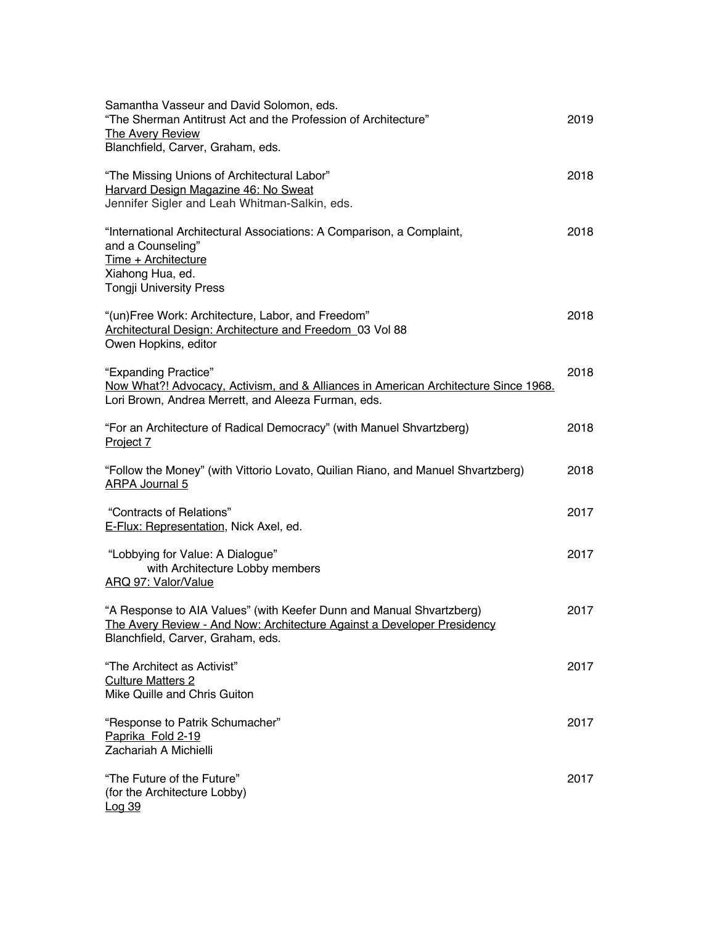| Samantha Vasseur and David Solomon, eds.<br>"The Sherman Antitrust Act and the Profession of Architecture"<br><b>The Avery Review</b><br>Blanchfield, Carver, Graham, eds.                   | 2019 |
|----------------------------------------------------------------------------------------------------------------------------------------------------------------------------------------------|------|
| "The Missing Unions of Architectural Labor"<br>Harvard Design Magazine 46: No Sweat<br>Jennifer Sigler and Leah Whitman-Salkin, eds.                                                         | 2018 |
| "International Architectural Associations: A Comparison, a Complaint,<br>and a Counseling"<br>Time + Architecture<br>Xiahong Hua, ed.<br><b>Tongji University Press</b>                      | 2018 |
| "(un)Free Work: Architecture, Labor, and Freedom"<br>Architectural Design: Architecture and Freedom 03 Vol 88<br>Owen Hopkins, editor                                                        | 2018 |
| "Expanding Practice"<br>Now What?! Advocacy, Activism, and & Alliances in American Architecture Since 1968.<br>Lori Brown, Andrea Merrett, and Aleeza Furman, eds.                           | 2018 |
| "For an Architecture of Radical Democracy" (with Manuel Shvartzberg)<br>Project 7                                                                                                            | 2018 |
| "Follow the Money" (with Vittorio Lovato, Quilian Riano, and Manuel Shvartzberg)<br><b>ARPA Journal 5</b>                                                                                    | 2018 |
| "Contracts of Relations"<br>E-Flux: Representation, Nick Axel, ed.                                                                                                                           | 2017 |
| "Lobbying for Value: A Dialogue"<br>with Architecture Lobby members<br>ARQ 97: Valor/Value                                                                                                   | 2017 |
| "A Response to AIA Values" (with Keefer Dunn and Manual Shvartzberg)<br><u> The Avery Review - And Now: Architecture Against a Developer Presidency</u><br>Blanchfield, Carver, Graham, eds. | 2017 |
| "The Architect as Activist"<br><b>Culture Matters 2</b><br>Mike Quille and Chris Guiton                                                                                                      | 2017 |
| "Response to Patrik Schumacher"<br>Paprika Fold 2-19<br>Zachariah A Michielli                                                                                                                | 2017 |
| "The Future of the Future"<br>(for the Architecture Lobby)<br><u>Log 39</u>                                                                                                                  | 2017 |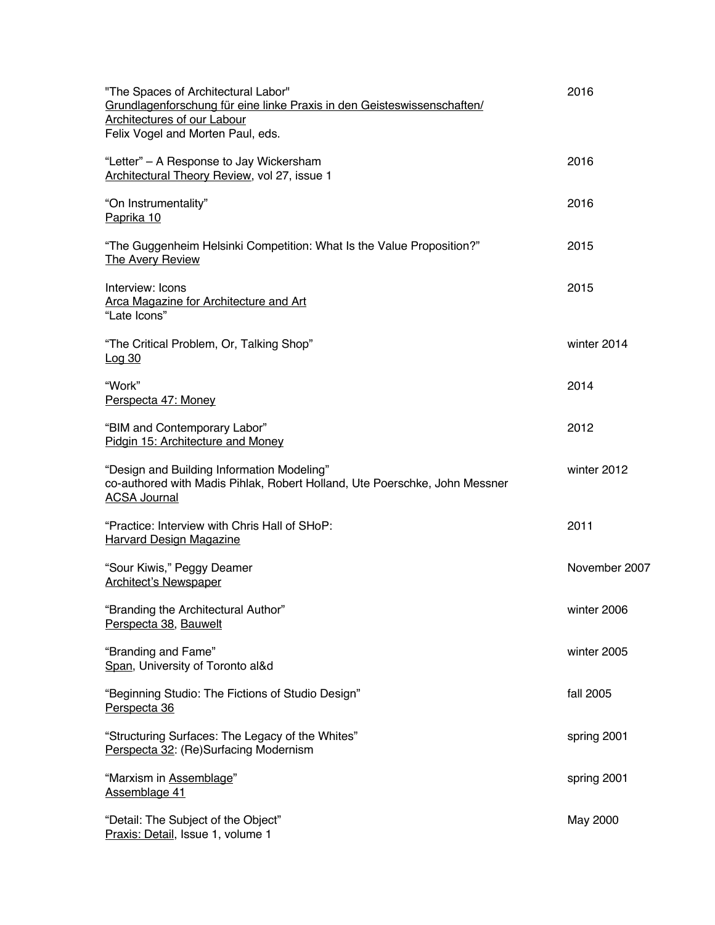| "The Spaces of Architectural Labor"<br>Grundlagenforschung für eine linke Praxis in den Geisteswissenschaften/                                  | 2016          |
|-------------------------------------------------------------------------------------------------------------------------------------------------|---------------|
| <b>Architectures of our Labour</b><br>Felix Vogel and Morten Paul, eds.                                                                         |               |
| "Letter" - A Response to Jay Wickersham<br>Architectural Theory Review, vol 27, issue 1                                                         | 2016          |
| "On Instrumentality"<br>Paprika 10                                                                                                              | 2016          |
| "The Guggenheim Helsinki Competition: What Is the Value Proposition?"<br><b>The Avery Review</b>                                                | 2015          |
| Interview: Icons<br><b>Arca Magazine for Architecture and Art</b><br>"Late Icons"                                                               | 2015          |
| "The Critical Problem, Or, Talking Shop"<br><u>Log 30</u>                                                                                       | winter 2014   |
| "Work"<br>Perspecta 47: Money                                                                                                                   | 2014          |
| "BIM and Contemporary Labor"<br>Pidgin 15: Architecture and Money                                                                               | 2012          |
| "Design and Building Information Modeling"<br>co-authored with Madis Pihlak, Robert Holland, Ute Poerschke, John Messner<br><b>ACSA Journal</b> | winter 2012   |
| "Practice: Interview with Chris Hall of SHoP:<br><b>Harvard Design Magazine</b>                                                                 | 2011          |
| "Sour Kiwis," Peggy Deamer<br><b>Architect's Newspaper</b>                                                                                      | November 2007 |
| "Branding the Architectural Author"<br>Perspecta 38, Bauwelt                                                                                    | winter 2006   |
| "Branding and Fame"<br>Span, University of Toronto al&d                                                                                         | winter 2005   |
| "Beginning Studio: The Fictions of Studio Design"<br>Perspecta 36                                                                               | fall 2005     |
| "Structuring Surfaces: The Legacy of the Whites"<br>Perspecta 32: (Re)Surfacing Modernism                                                       | spring 2001   |
| "Marxism in Assemblage"<br>Assemblage 41                                                                                                        | spring 2001   |
| "Detail: The Subject of the Object"<br>Praxis: Detail, Issue 1, volume 1                                                                        | May 2000      |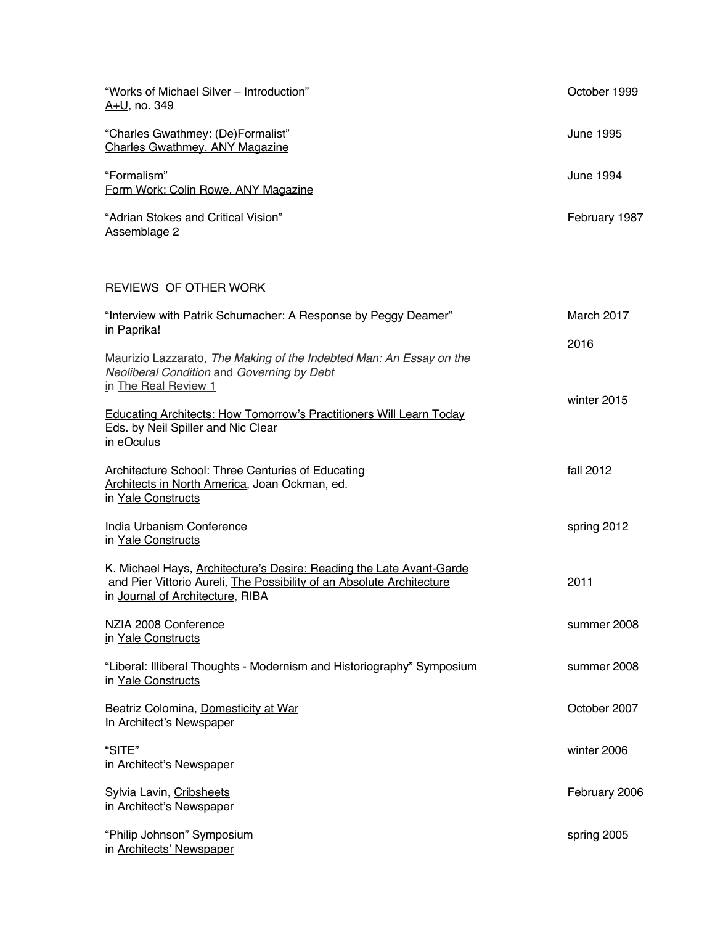| "Works of Michael Silver - Introduction"<br><u>A+U</u> , no. 349                                                                                                                  | October 1999     |
|-----------------------------------------------------------------------------------------------------------------------------------------------------------------------------------|------------------|
| "Charles Gwathmey: (De)Formalist"<br><b>Charles Gwathmey, ANY Magazine</b>                                                                                                        | <b>June 1995</b> |
| "Formalism"<br>Form Work: Colin Rowe, ANY Magazine                                                                                                                                | <b>June 1994</b> |
| "Adrian Stokes and Critical Vision"<br>Assemblage 2                                                                                                                               | February 1987    |
| REVIEWS OF OTHER WORK                                                                                                                                                             |                  |
| "Interview with Patrik Schumacher: A Response by Peggy Deamer"<br>in Paprika!                                                                                                     | March 2017       |
| Maurizio Lazzarato, The Making of the Indebted Man: An Essay on the<br>Neoliberal Condition and Governing by Debt<br>in The Real Review 1                                         | 2016             |
| <b>Educating Architects: How Tomorrow's Practitioners Will Learn Today</b><br>Eds. by Neil Spiller and Nic Clear<br>in eOculus                                                    | winter 2015      |
| <b>Architecture School: Three Centuries of Educating</b><br>Architects in North America, Joan Ockman, ed.<br>in Yale Constructs                                                   | fall 2012        |
| India Urbanism Conference<br>in Yale Constructs                                                                                                                                   | spring 2012      |
| K. Michael Hays, Architecture's Desire: Reading the Late Avant-Garde<br>and Pier Vittorio Aureli, The Possibility of an Absolute Architecture<br>in Journal of Architecture, RIBA | 2011             |
| NZIA 2008 Conference<br>in Yale Constructs                                                                                                                                        | summer 2008      |
| "Liberal: Illiberal Thoughts - Modernism and Historiography" Symposium<br>in Yale Constructs                                                                                      | summer 2008      |
| Beatriz Colomina, Domesticity at War<br>In Architect's Newspaper                                                                                                                  | October 2007     |
| "SITE"<br>in <b>Architect's Newspaper</b>                                                                                                                                         | winter 2006      |
| Sylvia Lavin, Cribsheets<br>in <b>Architect's Newspaper</b>                                                                                                                       | February 2006    |
| "Philip Johnson" Symposium<br>in <b>Architects' Newspaper</b>                                                                                                                     | spring 2005      |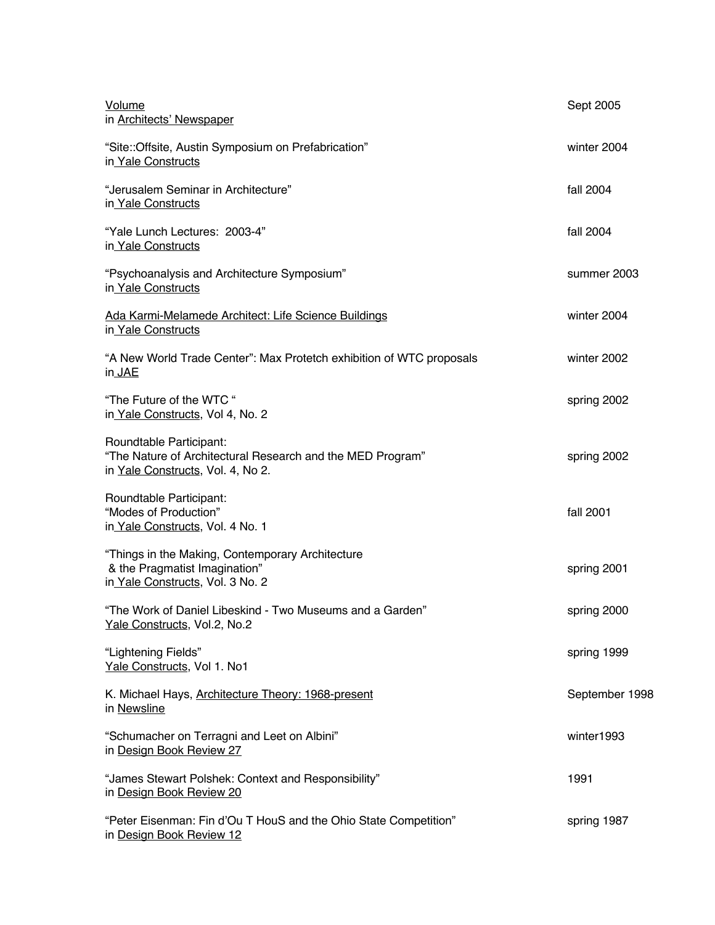| Volume<br>in <b>Architects' Newspaper</b>                                                                                  | Sept 2005      |
|----------------------------------------------------------------------------------------------------------------------------|----------------|
| "Site::Offsite, Austin Symposium on Prefabrication"<br>in Yale Constructs                                                  | winter 2004    |
| "Jerusalem Seminar in Architecture"<br>in Yale Constructs                                                                  | fall 2004      |
| "Yale Lunch Lectures: 2003-4"<br>in Yale Constructs                                                                        | fall 2004      |
| "Psychoanalysis and Architecture Symposium"<br>in Yale Constructs                                                          | summer 2003    |
| Ada Karmi-Melamede Architect: Life Science Buildings<br>in Yale Constructs                                                 | winter 2004    |
| "A New World Trade Center": Max Protetch exhibition of WTC proposals<br>in JAE                                             | winter 2002    |
| "The Future of the WTC"<br>in Yale Constructs, Vol 4, No. 2                                                                | spring 2002    |
| Roundtable Participant:<br>"The Nature of Architectural Research and the MED Program"<br>in Yale Constructs, Vol. 4, No 2. | spring 2002    |
| Roundtable Participant:<br>"Modes of Production"<br>in Yale Constructs, Vol. 4 No. 1                                       | fall 2001      |
| "Things in the Making, Contemporary Architecture<br>& the Pragmatist Imagination"<br>in Yale Constructs, Vol. 3 No. 2      | spring 2001    |
| "The Work of Daniel Libeskind - Two Museums and a Garden"<br>Yale Constructs, Vol.2, No.2                                  | spring 2000    |
| "Lightening Fields"<br>Yale Constructs, Vol 1. No1                                                                         | spring 1999    |
| K. Michael Hays, Architecture Theory: 1968-present<br>in Newsline                                                          | September 1998 |
| "Schumacher on Terragni and Leet on Albini"<br>in Design Book Review 27                                                    | winter1993     |
| "James Stewart Polshek: Context and Responsibility"<br>in Design Book Review 20                                            | 1991           |
| "Peter Eisenman: Fin d'Ou T HouS and the Ohio State Competition"<br>in Design Book Review 12                               | spring 1987    |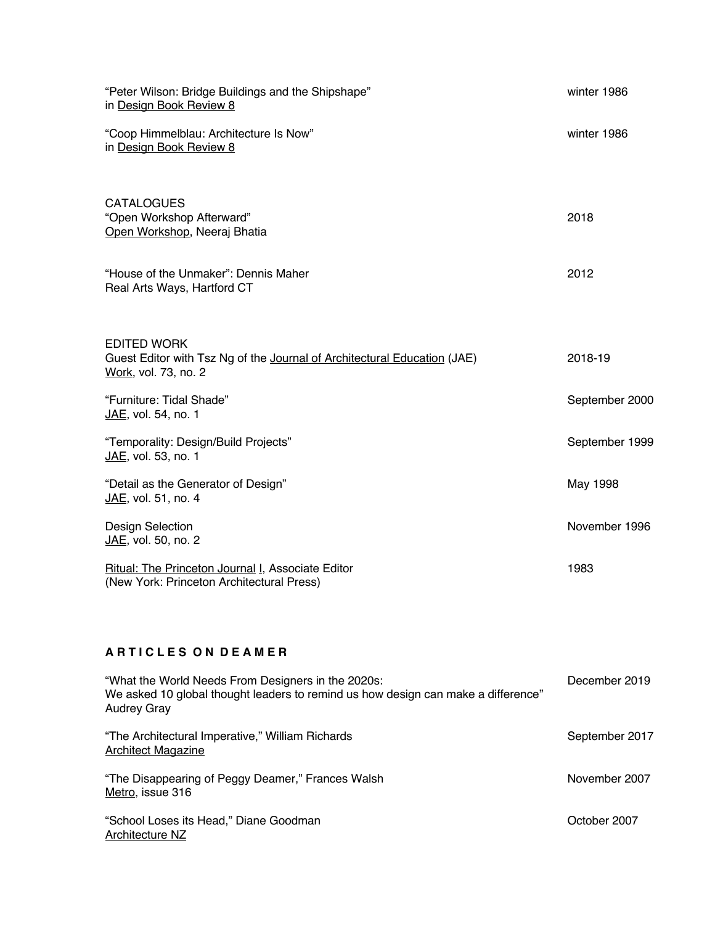| "Peter Wilson: Bridge Buildings and the Shipshape"<br>in Design Book Review 8                                                                                 | winter 1986    |
|---------------------------------------------------------------------------------------------------------------------------------------------------------------|----------------|
| "Coop Himmelblau: Architecture Is Now"<br>in Design Book Review 8                                                                                             | winter 1986    |
| <b>CATALOGUES</b><br>"Open Workshop Afterward"<br>Open Workshop, Neeraj Bhatia                                                                                | 2018           |
| "House of the Unmaker": Dennis Maher<br>Real Arts Ways, Hartford CT                                                                                           | 2012           |
| <b>EDITED WORK</b><br>Guest Editor with Tsz Ng of the Journal of Architectural Education (JAE)<br>Work, vol. 73, no. 2                                        | 2018-19        |
| "Furniture: Tidal Shade"<br>JAE, vol. 54, no. 1                                                                                                               | September 2000 |
| "Temporality: Design/Build Projects"<br>JAE, vol. 53, no. 1                                                                                                   | September 1999 |
| "Detail as the Generator of Design"<br>JAE, vol. 51, no. 4                                                                                                    | May 1998       |
| <b>Design Selection</b><br>JAE, vol. 50, no. 2                                                                                                                | November 1996  |
| Ritual: The Princeton Journal I, Associate Editor<br>(New York: Princeton Architectural Press)                                                                | 1983           |
| <b>ARTICLES ON DEAMER</b>                                                                                                                                     |                |
| "What the World Needs From Designers in the 2020s:<br>We asked 10 global thought leaders to remind us how design can make a difference"<br><b>Audrey Gray</b> | December 2019  |

"The Disappearing of Peggy Deamer," Frances Walsh November 2007 <u>Metro</u>, issue 316

"The Architectural Imperative," William Richards September 2017

"School Loses its Head," Diane Goodman Contract Contract Contract Contract Contract Contract Contract Contract Contract Contract Contract Contract Contract Contract Contract Contract Contract Contract Contract Contract Con Architecture NZ

Architect Magazine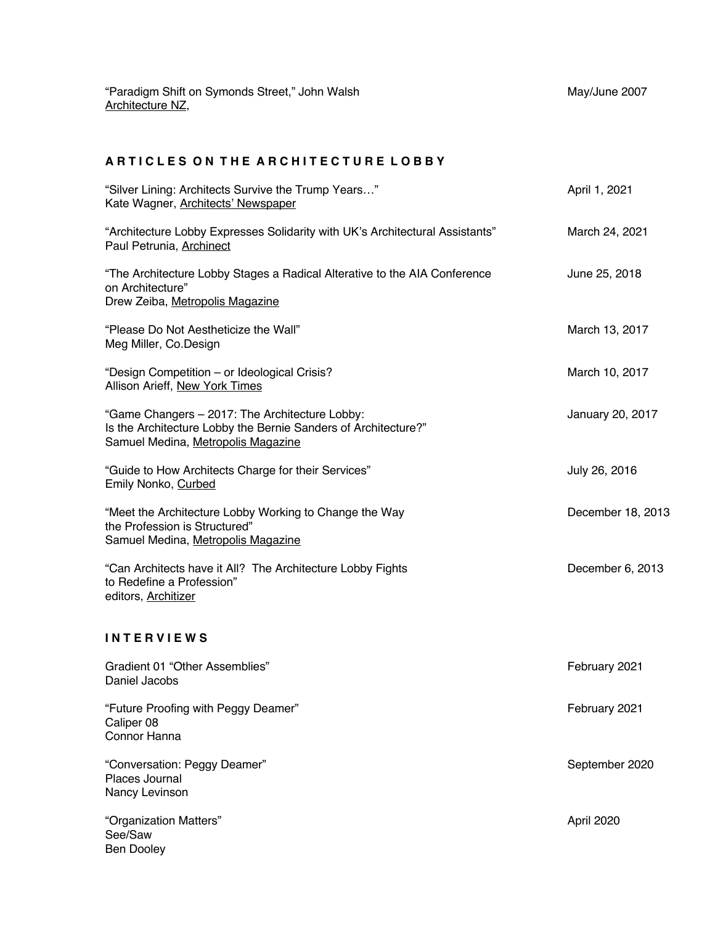# ARTICLES ON THE ARCHITECTURE LOBBY

| "Silver Lining: Architects Survive the Trump Years"<br>Kate Wagner, Architects' Newspaper                                                              | April 1, 2021     |
|--------------------------------------------------------------------------------------------------------------------------------------------------------|-------------------|
| "Architecture Lobby Expresses Solidarity with UK's Architectural Assistants"<br>Paul Petrunia, Archinect                                               | March 24, 2021    |
| "The Architecture Lobby Stages a Radical Alterative to the AIA Conference<br>on Architecture"<br>Drew Zeiba, Metropolis Magazine                       | June 25, 2018     |
| "Please Do Not Aestheticize the Wall"<br>Meg Miller, Co.Design                                                                                         | March 13, 2017    |
| "Design Competition - or Ideological Crisis?<br>Allison Arieff, New York Times                                                                         | March 10, 2017    |
| "Game Changers - 2017: The Architecture Lobby:<br>Is the Architecture Lobby the Bernie Sanders of Architecture?"<br>Samuel Medina, Metropolis Magazine | January 20, 2017  |
| "Guide to How Architects Charge for their Services"<br>Emily Nonko, Curbed                                                                             | July 26, 2016     |
| "Meet the Architecture Lobby Working to Change the Way<br>the Profession is Structured"<br>Samuel Medina, Metropolis Magazine                          | December 18, 2013 |
| "Can Architects have it All? The Architecture Lobby Fights<br>to Redefine a Profession"<br>editors, Architizer                                         | December 6, 2013  |
| <b>INTERVIEWS</b>                                                                                                                                      |                   |
| Gradient 01 "Other Assemblies"<br>Daniel Jacobs                                                                                                        | February 2021     |
| "Future Proofing with Peggy Deamer"<br>Caliper 08<br>Connor Hanna                                                                                      | February 2021     |
| "Conversation: Peggy Deamer"<br>Places Journal<br>Nancy Levinson                                                                                       | September 2020    |
| "Organization Matters"<br>See/Saw<br><b>Ben Dooley</b>                                                                                                 | April 2020        |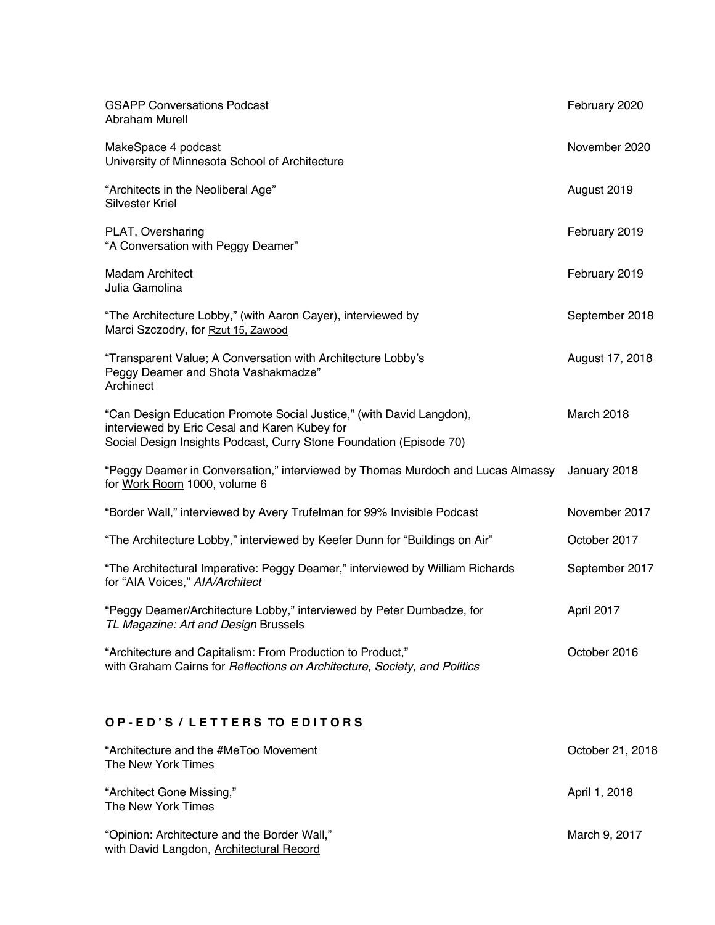| <b>GSAPP Conversations Podcast</b><br><b>Abraham Murell</b>                                                                                                                                  | February 2020   |
|----------------------------------------------------------------------------------------------------------------------------------------------------------------------------------------------|-----------------|
| MakeSpace 4 podcast<br>University of Minnesota School of Architecture                                                                                                                        | November 2020   |
| "Architects in the Neoliberal Age"<br>Silvester Kriel                                                                                                                                        | August 2019     |
| PLAT, Oversharing<br>"A Conversation with Peggy Deamer"                                                                                                                                      | February 2019   |
| <b>Madam Architect</b><br>Julia Gamolina                                                                                                                                                     | February 2019   |
| "The Architecture Lobby," (with Aaron Cayer), interviewed by<br>Marci Szczodry, for Rzut 15, Zawood                                                                                          | September 2018  |
| "Transparent Value; A Conversation with Architecture Lobby's<br>Peggy Deamer and Shota Vashakmadze"<br>Archinect                                                                             | August 17, 2018 |
| "Can Design Education Promote Social Justice," (with David Langdon),<br>interviewed by Eric Cesal and Karen Kubey for<br>Social Design Insights Podcast, Curry Stone Foundation (Episode 70) | March 2018      |
| "Peggy Deamer in Conversation," interviewed by Thomas Murdoch and Lucas Almassy<br>for Work Room 1000, volume 6                                                                              | January 2018    |
| "Border Wall," interviewed by Avery Trufelman for 99% Invisible Podcast                                                                                                                      | November 2017   |
| "The Architecture Lobby," interviewed by Keefer Dunn for "Buildings on Air"                                                                                                                  | October 2017    |
| "The Architectural Imperative: Peggy Deamer," interviewed by William Richards<br>for "AIA Voices," AIA/Architect                                                                             | September 2017  |
| "Peggy Deamer/Architecture Lobby," interviewed by Peter Dumbadze, for<br>TL Magazine: Art and Design Brussels                                                                                | April 2017      |
| "Architecture and Capitalism: From Production to Product,"<br>with Graham Cairns for Reflections on Architecture, Society, and Politics                                                      | October 2016    |
|                                                                                                                                                                                              |                 |

# **O P - E D ' S / L E T T E R S TO E D I T O R S**

| "Architecture and the #MeToo Movement"<br>The New York Times                             | October 21, 2018 |
|------------------------------------------------------------------------------------------|------------------|
| "Architect Gone Missing,"<br>The New York Times                                          | April 1, 2018    |
| "Opinion: Architecture and the Border Wall,"<br>with David Langdon, Architectural Record | March 9, 2017    |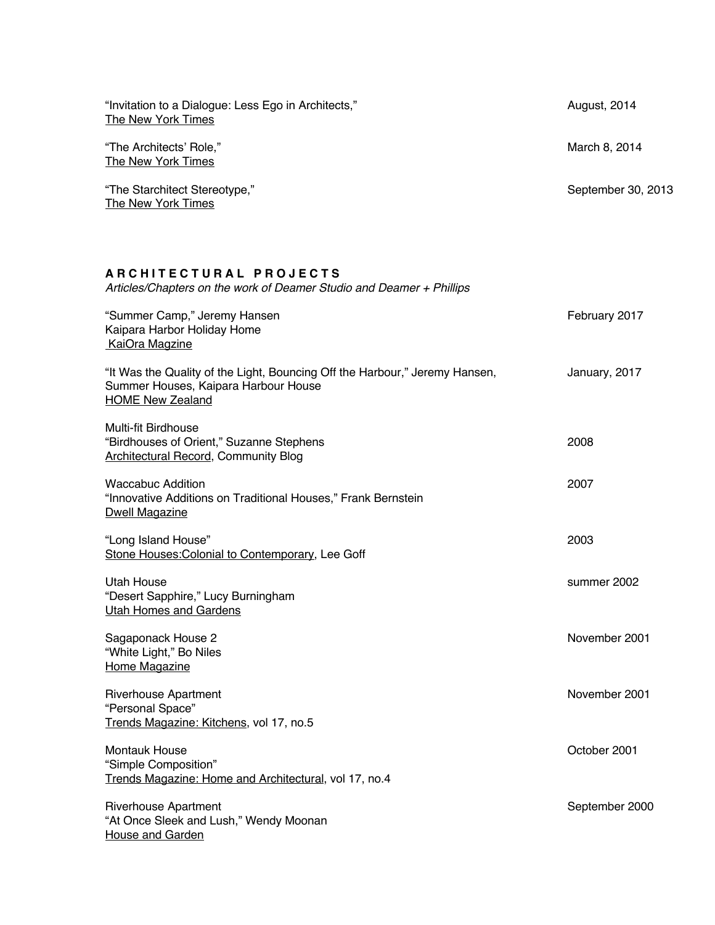| "Invitation to a Dialogue: Less Ego in Architects,"<br>The New York Times                                                                      | August, 2014       |
|------------------------------------------------------------------------------------------------------------------------------------------------|--------------------|
| "The Architects' Role,"<br><b>The New York Times</b>                                                                                           | March 8, 2014      |
| "The Starchitect Stereotype,"<br>The New York Times                                                                                            | September 30, 2013 |
| <b>ARCHITECTURAL PROJECTS</b>                                                                                                                  |                    |
| Articles/Chapters on the work of Deamer Studio and Deamer + Phillips                                                                           |                    |
| "Summer Camp," Jeremy Hansen<br>Kaipara Harbor Holiday Home<br>KaiOra Magzine                                                                  | February 2017      |
| "It Was the Quality of the Light, Bouncing Off the Harbour," Jeremy Hansen,<br>Summer Houses, Kaipara Harbour House<br><b>HOME New Zealand</b> | January, 2017      |
| Multi-fit Birdhouse<br>"Birdhouses of Orient," Suzanne Stephens<br><b>Architectural Record, Community Blog</b>                                 | 2008               |
| <b>Waccabuc Addition</b><br>"Innovative Additions on Traditional Houses," Frank Bernstein<br><b>Dwell Magazine</b>                             | 2007               |
| "Long Island House"<br>Stone Houses: Colonial to Contemporary, Lee Goff                                                                        | 2003               |
| <b>Utah House</b><br>"Desert Sapphire," Lucy Burningham<br><b>Utah Homes and Gardens</b>                                                       | summer 2002        |
| Sagaponack House 2<br>"White Light," Bo Niles<br>Home Magazine                                                                                 | November 2001      |
| <b>Riverhouse Apartment</b><br>"Personal Space"<br>Trends Magazine: Kitchens, vol 17, no.5                                                     | November 2001      |
| <b>Montauk House</b><br>"Simple Composition"<br>Trends Magazine: Home and Architectural, vol 17, no.4                                          | October 2001       |
| <b>Riverhouse Apartment</b><br>"At Once Sleek and Lush," Wendy Moonan<br><b>House and Garden</b>                                               | September 2000     |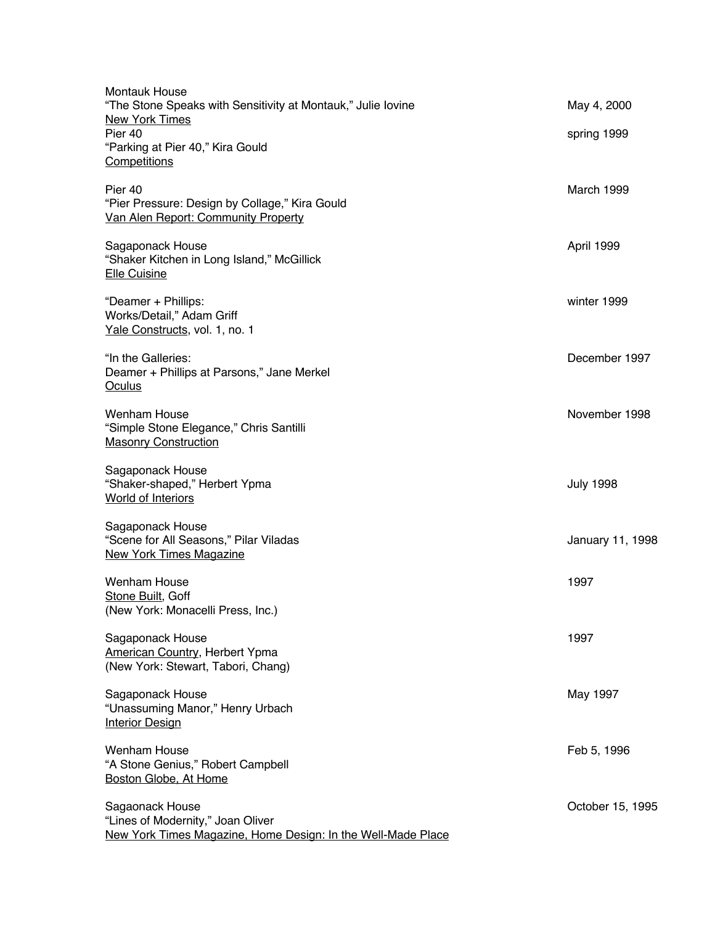| <b>Montauk House</b><br>"The Stone Speaks with Sensitivity at Montauk," Julie lovine<br><b>New York Times</b><br>Pier 40<br>"Parking at Pier 40," Kira Gould<br>Competitions | May 4, 2000<br>spring 1999 |
|------------------------------------------------------------------------------------------------------------------------------------------------------------------------------|----------------------------|
| Pier 40<br>"Pier Pressure: Design by Collage," Kira Gould<br>Van Alen Report: Community Property                                                                             | March 1999                 |
| Sagaponack House<br>"Shaker Kitchen in Long Island," McGillick<br><b>Elle Cuisine</b>                                                                                        | April 1999                 |
| "Deamer + Phillips:<br>Works/Detail," Adam Griff<br>Yale Constructs, vol. 1, no. 1                                                                                           | winter 1999                |
| "In the Galleries:<br>Deamer + Phillips at Parsons," Jane Merkel<br>Oculus                                                                                                   | December 1997              |
| <b>Wenham House</b><br>"Simple Stone Elegance," Chris Santilli<br><b>Masonry Construction</b>                                                                                | November 1998              |
| Sagaponack House<br>"Shaker-shaped," Herbert Ypma<br><b>World of Interiors</b>                                                                                               | <b>July 1998</b>           |
| Sagaponack House<br>"Scene for All Seasons," Pilar Viladas<br><b>New York Times Magazine</b>                                                                                 | January 11, 1998           |
| <b>Wenham House</b><br>Stone Built, Goff<br>(New York: Monacelli Press, Inc.)                                                                                                | 1997                       |
| Sagaponack House<br><b>American Country, Herbert Ypma</b><br>(New York: Stewart, Tabori, Chang)                                                                              | 1997                       |
| Sagaponack House<br>"Unassuming Manor," Henry Urbach<br><b>Interior Design</b>                                                                                               | May 1997                   |
| <b>Wenham House</b><br>"A Stone Genius," Robert Campbell<br>Boston Globe, At Home                                                                                            | Feb 5, 1996                |
| Sagaonack House<br>"Lines of Modernity," Joan Oliver<br>New York Times Magazine, Home Design: In the Well-Made Place                                                         | October 15, 1995           |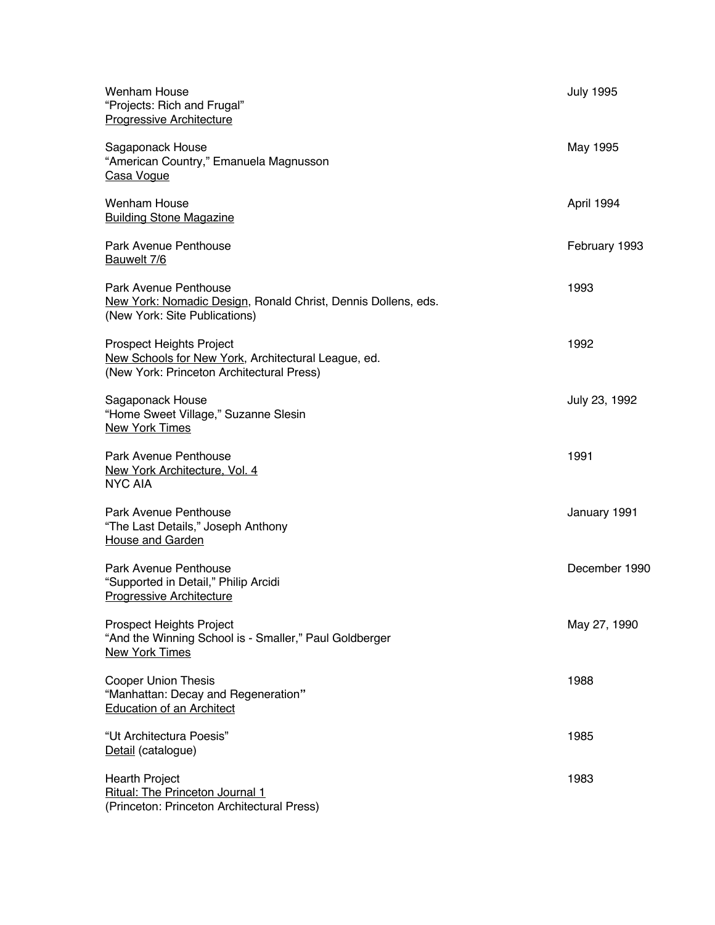| Wenham House<br>"Projects: Rich and Frugal"<br><b>Progressive Architecture</b>                                               | <b>July 1995</b> |
|------------------------------------------------------------------------------------------------------------------------------|------------------|
| Sagaponack House<br>"American Country," Emanuela Magnusson<br>Casa Voque                                                     | May 1995         |
| Wenham House<br><b>Building Stone Magazine</b>                                                                               | April 1994       |
| <b>Park Avenue Penthouse</b><br>Bauwelt 7/6                                                                                  | February 1993    |
| Park Avenue Penthouse<br>New York: Nomadic Design, Ronald Christ, Dennis Dollens, eds.<br>(New York: Site Publications)      | 1993             |
| Prospect Heights Project<br>New Schools for New York, Architectural League, ed.<br>(New York: Princeton Architectural Press) | 1992             |
| Sagaponack House<br>"Home Sweet Village," Suzanne Slesin<br><b>New York Times</b>                                            | July 23, 1992    |
| <b>Park Avenue Penthouse</b><br>New York Architecture, Vol. 4<br><b>NYC AIA</b>                                              | 1991             |
| <b>Park Avenue Penthouse</b><br>"The Last Details," Joseph Anthony<br>House and Garden                                       | January 1991     |
| <b>Park Avenue Penthouse</b><br>"Supported in Detail," Philip Arcidi<br><b>Progressive Architecture</b>                      | December 1990    |
| Prospect Heights Project<br>"And the Winning School is - Smaller," Paul Goldberger<br><b>New York Times</b>                  | May 27, 1990     |
| <b>Cooper Union Thesis</b><br>"Manhattan: Decay and Regeneration"<br><b>Education of an Architect</b>                        | 1988             |
| "Ut Architectura Poesis"<br>Detail (catalogue)                                                                               | 1985             |
| Hearth Project<br>Ritual: The Princeton Journal 1<br>(Princeton: Princeton Architectural Press)                              | 1983             |